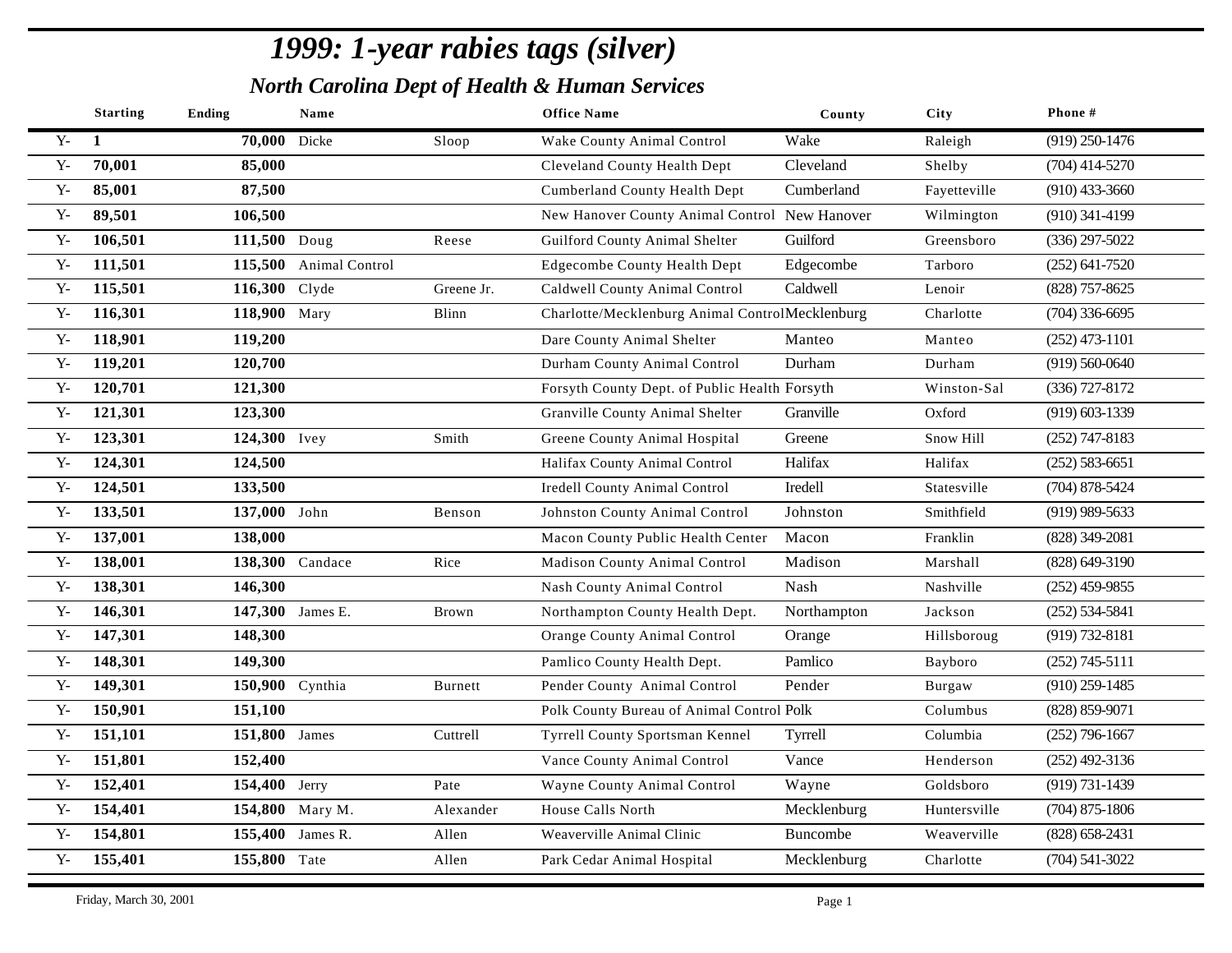|                | <b>Starting</b> | Ending          | Name                   |            | <b>Office Name</b>                              | County          | City         | Phone #            |
|----------------|-----------------|-----------------|------------------------|------------|-------------------------------------------------|-----------------|--------------|--------------------|
| ${\bf Y}$      | 1               | 70,000 Dicke    |                        | Sloop      | Wake County Animal Control                      | Wake            | Raleigh      | $(919)$ 250-1476   |
| $\mathbf{Y}$   | 70,001          | 85,000          |                        |            | Cleveland County Health Dept                    | Cleveland       | Shelby       | $(704)$ 414-5270   |
| $Y -$          | 85,001          | 87,500          |                        |            | Cumberland County Health Dept                   | Cumberland      | Fayetteville | $(910)$ 433-3660   |
| ${\bf Y}$      | 89,501          | 106,500         |                        |            | New Hanover County Animal Control New Hanover   |                 | Wilmington   | $(910)$ 341-4199   |
| ${\bf Y}$      | 106,501         | 111,500 Doug    |                        | Reese      | <b>Guilford County Animal Shelter</b>           | Guilford        | Greensboro   | $(336)$ 297-5022   |
| ${\bf Y}$      | 111,501         |                 | 115,500 Animal Control |            | <b>Edgecombe County Health Dept</b>             | Edgecombe       | Tarboro      | $(252) 641 - 7520$ |
| ${\bf Y}$      | 115,501         | 116,300 Clyde   |                        | Greene Jr. | Caldwell County Animal Control                  | Caldwell        | Lenoir       | (828) 757-8625     |
| ${\bf Y}$      | 116,301         | 118,900 Mary    |                        | Blinn      | Charlotte/Mecklenburg Animal ControlMecklenburg |                 | Charlotte    | $(704)$ 336-6695   |
| $Y -$          | 118,901         | 119,200         |                        |            | Dare County Animal Shelter                      | Manteo          | Manteo       | $(252)$ 473-1101   |
| $Y -$          | 119,201         | 120,700         |                        |            | Durham County Animal Control                    | Durham          | Durham       | $(919) 560 - 0640$ |
| $Y -$          | 120,701         | 121,300         |                        |            | Forsyth County Dept. of Public Health Forsyth   |                 | Winston-Sal  | $(336)$ 727-8172   |
| ${\bf Y}$      | 121,301         | 123,300         |                        |            | Granville County Animal Shelter                 | Granville       | Oxford       | $(919) 603 - 1339$ |
| $Y -$          | 123,301         | 124,300 Ivey    |                        | Smith      | Greene County Animal Hospital                   | Greene          | Snow Hill    | $(252)$ 747-8183   |
| ${\bf Y}$      | 124,301         | 124,500         |                        |            | Halifax County Animal Control                   | Halifax         | Halifax      | $(252) 583 - 6651$ |
| $Y -$          | 124,501         | 133,500         |                        |            | <b>Iredell County Animal Control</b>            | Iredell         | Statesville  | $(704)$ 878-5424   |
| ${\bf Y}$      | 133,501         | 137,000 John    |                        | Benson     | Johnston County Animal Control                  | Johnston        | Smithfield   | $(919)$ 989-5633   |
| ${\bf Y}$      | 137,001         | 138,000         |                        |            | Macon County Public Health Center               | Macon           | Franklin     | (828) 349-2081     |
| $Y -$          | 138,001         |                 | 138,300 Candace        | Rice       | Madison County Animal Control                   | Madison         | Marshall     | $(828)$ 649-3190   |
| ${\bf Y}$      | 138,301         | 146,300         |                        |            | Nash County Animal Control                      | Nash            | Nashville    | $(252)$ 459-9855   |
| $Y -$          | 146,301         |                 | 147,300 James E.       | Brown      | Northampton County Health Dept.                 | Northampton     | Jackson      | $(252)$ 534-5841   |
| $Y -$          | 147,301         | 148,300         |                        |            | Orange County Animal Control                    | Orange          | Hillsboroug  | $(919) 732 - 8181$ |
| $Y -$          | 148,301         | 149,300         |                        |            | Pamlico County Health Dept.                     | Pamlico         | Bayboro      | $(252)$ 745-5111   |
| $\mathbf{Y}$   | 149,301         | 150,900 Cynthia |                        | Burnett    | Pender County Animal Control                    | Pender          | Burgaw       | $(910)$ 259-1485   |
| $Y -$          | 150,901         | 151,100         |                        |            | Polk County Bureau of Animal Control Polk       |                 | Columbus     | (828) 859-9071     |
| $Y -$          | 151,101         | 151,800 James   |                        | Cuttrell   | Tyrrell County Sportsman Kennel                 | Tyrrell         | Columbia     | $(252)$ 796-1667   |
| $Y -$          | 151,801         | 152,400         |                        |            | Vance County Animal Control                     | Vance           | Henderson    | $(252)$ 492-3136   |
| ${\bf Y}$      | 152,401         | 154,400 Jerry   |                        | Pate       | Wayne County Animal Control                     | Wayne           | Goldsboro    | $(919) 731 - 1439$ |
| ${\bf Y}$      | 154,401         |                 | 154,800 Mary M.        | Alexander  | House Calls North                               | Mecklenburg     | Huntersville | $(704)$ 875-1806   |
| ${\bf Y}$      | 154,801         |                 | 155,400 James R.       | Allen      | Weaverville Animal Clinic                       | <b>Buncombe</b> | Weaverville  | $(828)$ 658-2431   |
| $\mathbf{Y}$ - | 155,401         | 155,800 Tate    |                        | Allen      | Park Cedar Animal Hospital                      | Mecklenburg     | Charlotte    | $(704)$ 541-3022   |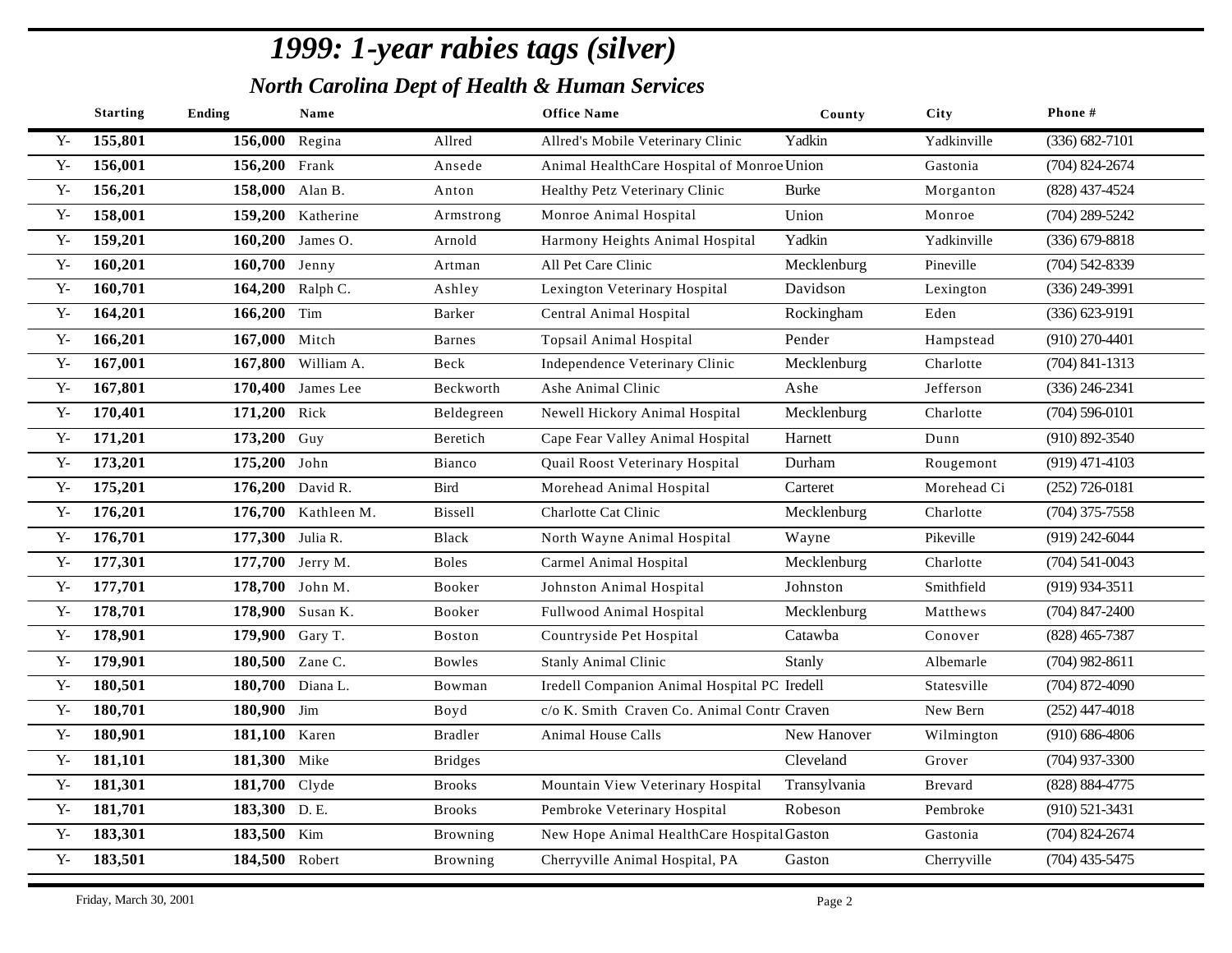|              | <b>Starting</b> | <b>Ending</b>    | Name                |                | <b>Office Name</b>                           | County       | <b>City</b>    | Phone#             |
|--------------|-----------------|------------------|---------------------|----------------|----------------------------------------------|--------------|----------------|--------------------|
| $Y -$        | 155,801         | 156,000 Regina   |                     | Allred         | Allred's Mobile Veterinary Clinic            | Yadkin       | Yadkinville    | $(336) 682 - 7101$ |
| ${\bf Y}$ -  | 156,001         | 156,200 Frank    |                     | Ansede         | Animal HealthCare Hospital of Monroe Union   |              | Gastonia       | $(704)$ 824-2674   |
| $Y -$        | 156,201         | 158,000 Alan B.  |                     | Anton          | Healthy Petz Veterinary Clinic               | <b>Burke</b> | Morganton      | $(828)$ 437-4524   |
| $Y -$        | 158,001         |                  | 159,200 Katherine   | Armstrong      | Monroe Animal Hospital                       | Union        | Monroe         | $(704)$ 289-5242   |
| $Y -$        | 159,201         |                  | 160,200 James O.    | Arnold         | Harmony Heights Animal Hospital              | Yadkin       | Yadkinville    | $(336)$ 679-8818   |
| $Y -$        | 160,201         | 160,700 Jenny    |                     | Artman         | All Pet Care Clinic                          | Mecklenburg  | Pineville      | $(704)$ 542-8339   |
| $Y -$        | 160,701         |                  | 164,200 Ralph C.    | Ashley         | Lexington Veterinary Hospital                | Davidson     | Lexington      | $(336)$ 249-3991   |
| $Y -$        | 164,201         | 166,200 Tim      |                     | Barker         | Central Animal Hospital                      | Rockingham   | Eden           | $(336) 623 - 9191$ |
| $Y -$        | 166,201         | 167,000 Mitch    |                     | <b>Barnes</b>  | Topsail Animal Hospital                      | Pender       | Hampstead      | $(910)$ 270-4401   |
| $Y -$        | 167,001         |                  | 167,800 William A.  | Beck           | Independence Veterinary Clinic               | Mecklenburg  | Charlotte      | $(704)$ 841-1313   |
| $Y -$        | 167,801         |                  | 170,400 James Lee   | Beckworth      | Ashe Animal Clinic                           | Ashe         | Jefferson      | $(336)$ 246-2341   |
| $Y -$        | 170,401         | 171,200 Rick     |                     | Beldegreen     | Newell Hickory Animal Hospital               | Mecklenburg  | Charlotte      | $(704)$ 596-0101   |
| $Y -$        | 171,201         | 173,200 Guy      |                     | Beretich       | Cape Fear Valley Animal Hospital             | Harnett      | Dunn           | $(910) 892 - 3540$ |
| $Y -$        | 173,201         | 175,200 John     |                     | Bianco         | Quail Roost Veterinary Hospital              | Durham       | Rougemont      | $(919)$ 471-4103   |
| $Y -$        | 175,201         |                  | 176,200 David R.    | <b>Bird</b>    | Morehead Animal Hospital                     | Carteret     | Morehead Ci    | $(252)$ 726-0181   |
| $Y -$        | 176,201         |                  | 176,700 Kathleen M. | <b>Bissell</b> | Charlotte Cat Clinic                         | Mecklenburg  | Charlotte      | $(704)$ 375-7558   |
| $Y -$        | 176,701         | 177,300 Julia R. |                     | Black          | North Wayne Animal Hospital                  | Wayne        | Pikeville      | $(919)$ 242-6044   |
| $Y -$        | 177,301         |                  | 177,700 Jerry M.    | <b>Boles</b>   | Carmel Animal Hospital                       | Mecklenburg  | Charlotte      | $(704)$ 541-0043   |
| $Y -$        | 177,701         |                  | 178,700 John M.     | Booker         | Johnston Animal Hospital                     | Johnston     | Smithfield     | $(919)$ 934-3511   |
| $Y -$        | 178,701         |                  | 178,900 Susan K.    | Booker         | Fullwood Animal Hospital                     | Mecklenburg  | Matthews       | $(704)$ 847-2400   |
| $Y -$        | 178,901         | 179,900 Gary T.  |                     | <b>Boston</b>  | Countryside Pet Hospital                     | Catawba      | Conover        | $(828)$ 465-7387   |
| $Y -$        | 179,901         | 180,500 Zane C.  |                     | Bowles         | <b>Stanly Animal Clinic</b>                  | Stanly       | Albemarle      | $(704)$ 982-8611   |
| ${\bf Y}$    | 180,501         |                  | 180,700 Diana L.    | Bowman         | Iredell Companion Animal Hospital PC Iredell |              | Statesville    | $(704)$ 872-4090   |
| $Y -$        | 180,701         | 180,900 Jim      |                     | Boyd           | c/o K. Smith Craven Co. Animal Contr Craven  |              | New Bern       | $(252)$ 447-4018   |
| $Y -$        | 180,901         | 181,100 Karen    |                     | <b>Bradler</b> | Animal House Calls                           | New Hanover  | Wilmington     | $(910) 686 - 4806$ |
| $\mathbf{Y}$ | 181,101         | 181,300 Mike     |                     | <b>Bridges</b> |                                              | Cleveland    | Grover         | $(704)$ 937-3300   |
| $Y -$        | 181,301         | 181,700 Clyde    |                     | <b>Brooks</b>  | Mountain View Veterinary Hospital            | Transylvania | <b>Brevard</b> | (828) 884-4775     |
| $\mathbf{Y}$ | 181,701         | 183,300 D.E.     |                     | <b>Brooks</b>  | Pembroke Veterinary Hospital                 | Robeson      | Pembroke       | $(910)$ 521-3431   |
| $Y -$        | 183,301         | 183,500 Kim      |                     | Browning       | New Hope Animal HealthCare Hospital Gaston   |              | Gastonia       | $(704)$ 824-2674   |
| ${\bf Y}$ -  | 183,501         | 184,500 Robert   |                     | Browning       | Cherryville Animal Hospital, PA              | Gaston       | Cherryville    | $(704)$ 435-5475   |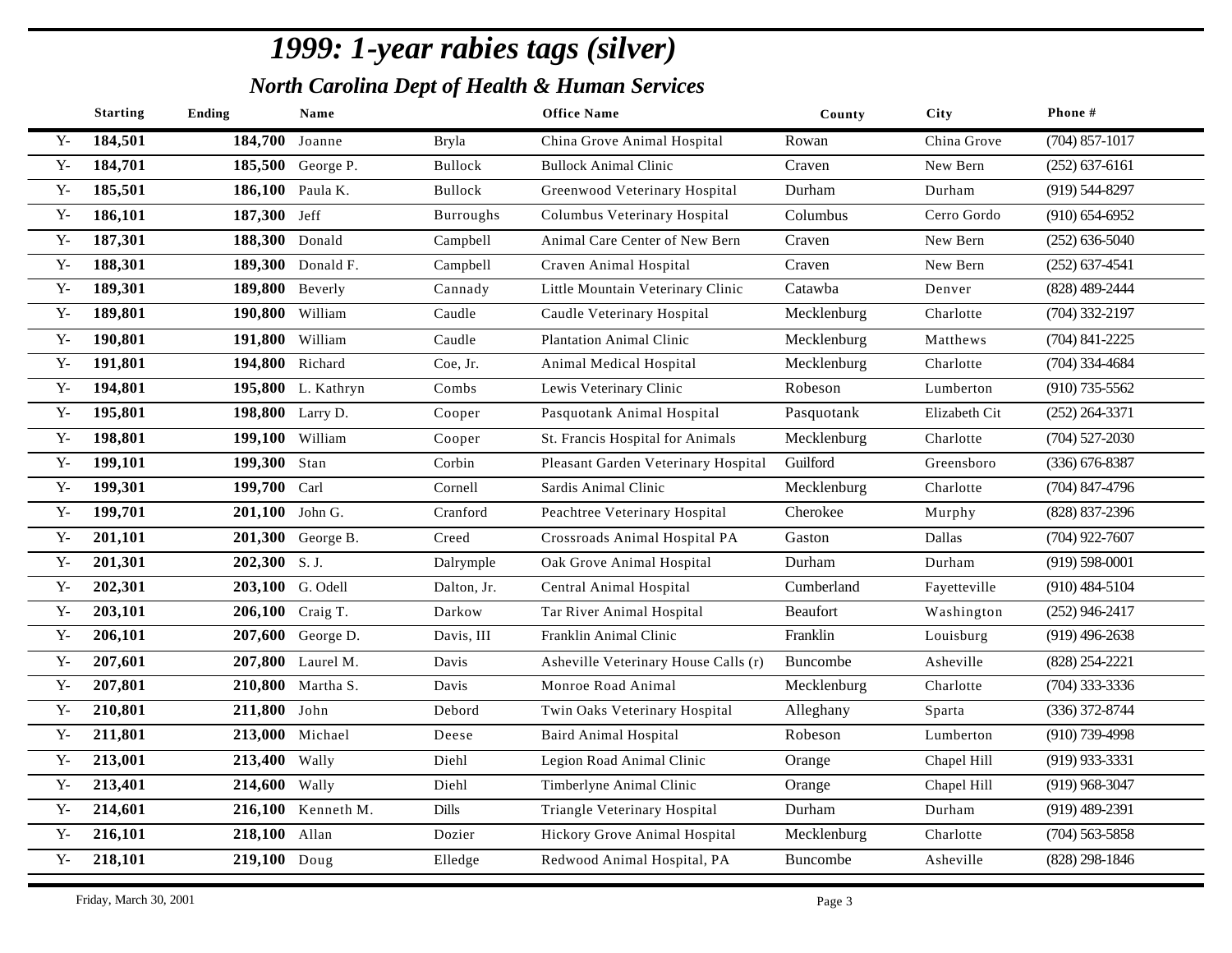|              | <b>Starting</b> | <b>Ending</b>    | Name               |                  | <b>Office Name</b>                   | County          | City          | Phone#             |
|--------------|-----------------|------------------|--------------------|------------------|--------------------------------------|-----------------|---------------|--------------------|
| $Y -$        | 184,501         | 184,700 Joanne   |                    | <b>Bryla</b>     | China Grove Animal Hospital          | Rowan           | China Grove   | $(704)$ 857-1017   |
| $\mathbf{Y}$ | 184,701         |                  | 185,500 George P.  | Bullock          | <b>Bullock Animal Clinic</b>         | Craven          | New Bern      | $(252)$ 637-6161   |
| $Y -$        | 185,501         |                  | 186,100 Paula K.   | Bullock          | Greenwood Veterinary Hospital        | Durham          | Durham        | $(919)$ 544-8297   |
| $Y -$        | 186,101         | 187,300 Jeff     |                    | <b>Burroughs</b> | Columbus Veterinary Hospital         | Columbus        | Cerro Gordo   | $(910) 654-6952$   |
| $Y -$        | 187,301         | 188,300 Donald   |                    | Campbell         | Animal Care Center of New Bern       | Craven          | New Bern      | $(252) 636 - 5040$ |
| $Y -$        | 188,301         |                  | 189,300 Donald F.  | Campbell         | Craven Animal Hospital               | Craven          | New Bern      | $(252)$ 637-4541   |
| $Y -$        | 189,301         | 189,800 Beverly  |                    | Cannady          | Little Mountain Veterinary Clinic    | Catawba         | Denver        | (828) 489-2444     |
| $Y -$        | 189,801         | 190,800 William  |                    | Caudle           | Caudle Veterinary Hospital           | Mecklenburg     | Charlotte     | $(704)$ 332-2197   |
| $Y -$        | 190,801         | 191,800 William  |                    | Caudle           | <b>Plantation Animal Clinic</b>      | Mecklenburg     | Matthews      | $(704)$ 841-2225   |
| $Y -$        | 191,801         | 194,800 Richard  |                    | Coe, Jr.         | Animal Medical Hospital              | Mecklenburg     | Charlotte     | $(704)$ 334-4684   |
| $Y -$        | 194,801         |                  | 195,800 L. Kathryn | Combs            | Lewis Veterinary Clinic              | Robeson         | Lumberton     | $(910)$ 735-5562   |
| $Y -$        | 195,801         | 198,800 Larry D. |                    | Cooper           | Pasquotank Animal Hospital           | Pasquotank      | Elizabeth Cit | $(252)$ 264-3371   |
| $Y -$        | 198,801         | 199,100 William  |                    | Cooper           | St. Francis Hospital for Animals     | Mecklenburg     | Charlotte     | $(704)$ 527-2030   |
| $\mathbf{Y}$ | 199,101         | 199,300 Stan     |                    | Corbin           | Pleasant Garden Veterinary Hospital  | Guilford        | Greensboro    | $(336) 676 - 8387$ |
| $Y -$        | 199,301         | 199,700 Carl     |                    | Cornell          | Sardis Animal Clinic                 | Mecklenburg     | Charlotte     | $(704)$ 847-4796   |
| $Y -$        | 199,701         | 201,100 John G.  |                    | Cranford         | Peachtree Veterinary Hospital        | Cherokee        | Murphy        | (828) 837-2396     |
| $Y -$        | 201,101         |                  | 201,300 George B.  | Creed            | Crossroads Animal Hospital PA        | Gaston          | Dallas        | $(704)$ 922-7607   |
| $Y -$        | 201,301         | 202,300 S.J.     |                    | Dalrymple        | Oak Grove Animal Hospital            | Durham          | Durham        | $(919) 598 - 0001$ |
| $\mathbf{Y}$ | 202,301         |                  | 203,100 G. Odell   | Dalton, Jr.      | Central Animal Hospital              | Cumberland      | Fayetteville  | $(910)$ 484-5104   |
| $Y -$        | 203,101         |                  | 206,100 Craig T.   | Darkow           | Tar River Animal Hospital            | <b>Beaufort</b> | Washington    | $(252)$ 946-2417   |
| $Y -$        | 206,101         |                  | 207,600 George D.  | Davis, III       | Franklin Animal Clinic               | Franklin        | Louisburg     | $(919)$ 496-2638   |
| $Y -$        | 207,601         |                  | 207,800 Laurel M.  | Davis            | Asheville Veterinary House Calls (r) | Buncombe        | Asheville     | (828) 254-2221     |
| $Y -$        | 207,801         |                  | 210,800 Martha S.  | Davis            | Monroe Road Animal                   | Mecklenburg     | Charlotte     | $(704)$ 333-3336   |
| $Y -$        | 210,801         | 211,800 John     |                    | Debord           | Twin Oaks Veterinary Hospital        | Alleghany       | Sparta        | (336) 372-8744     |
| $Y -$        | 211,801         |                  | 213,000 Michael    | Deese            | <b>Baird Animal Hospital</b>         | Robeson         | Lumberton     | $(910)$ 739-4998   |
| $Y -$        | 213,001         | 213,400 Wally    |                    | Diehl            | Legion Road Animal Clinic            | Orange          | Chapel Hill   | $(919)$ 933-3331   |
| $Y -$        | 213,401         | 214,600 Wally    |                    | Diehl            | Timberlyne Animal Clinic             | Orange          | Chapel Hill   | $(919)$ 968-3047   |
| $Y -$        | 214,601         |                  | 216,100 Kenneth M. | Dills            | Triangle Veterinary Hospital         | Durham          | Durham        | $(919)$ 489-2391   |
| $Y -$        | 216,101         | 218,100 Allan    |                    | Dozier           | Hickory Grove Animal Hospital        | Mecklenburg     | Charlotte     | $(704)$ 563-5858   |
| $Y -$        | 218,101         | 219,100 Doug     |                    | Elledge          | Redwood Animal Hospital, PA          | Buncombe        | Asheville     | $(828)$ 298-1846   |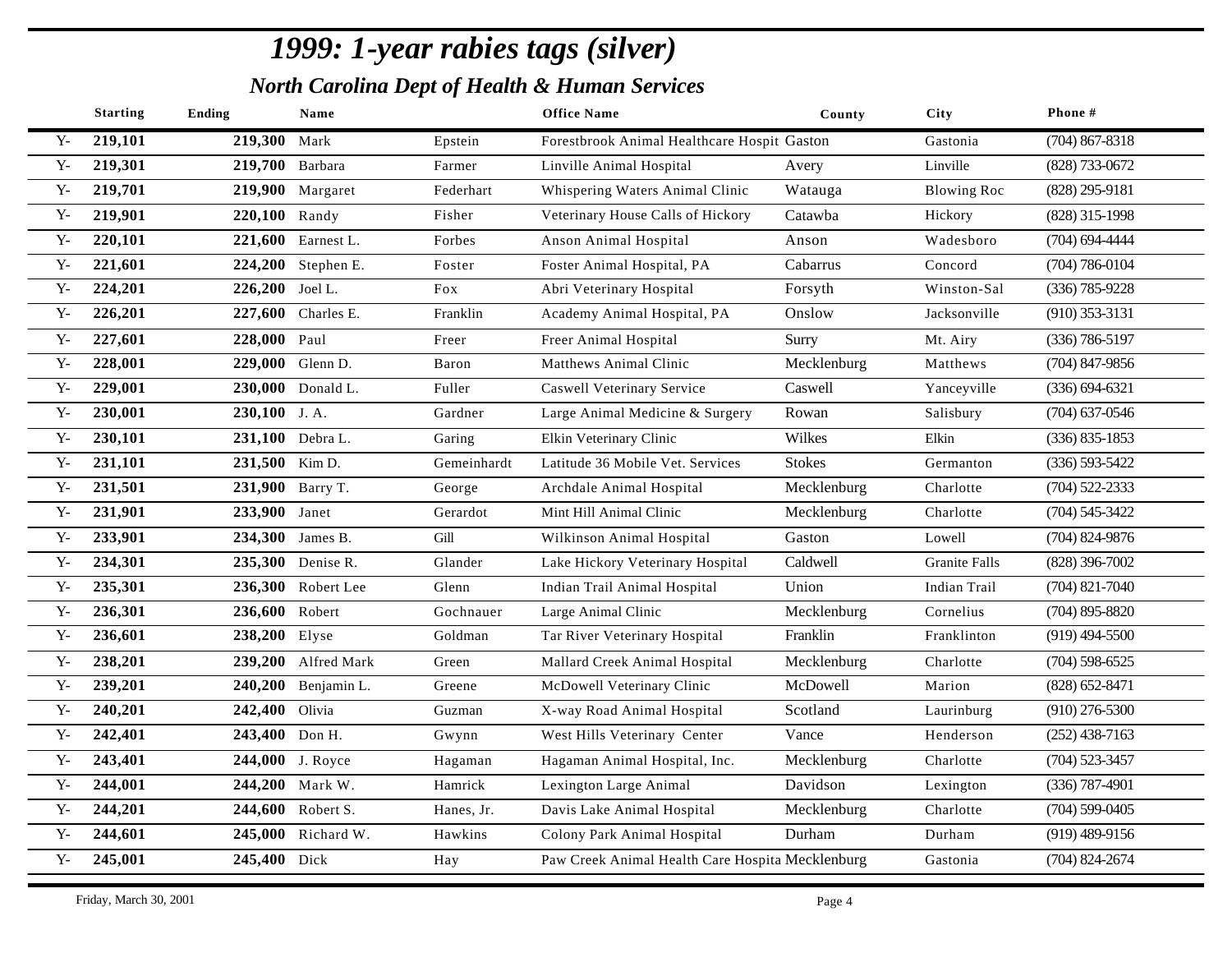|                | <b>Starting</b> | <b>Ending</b>   | Name                |             | <b>Office Name</b>                               | County        | <b>City</b>          | Phone #            |
|----------------|-----------------|-----------------|---------------------|-------------|--------------------------------------------------|---------------|----------------------|--------------------|
| $Y -$          | 219,101         | 219,300         | Mark                | Epstein     | Forestbrook Animal Healthcare Hospit Gaston      |               | Gastonia             | $(704)$ 867-8318   |
| $\mathbf{Y}$ - | 219,301         | 219,700 Barbara |                     | Farmer      | Linville Animal Hospital                         | Avery         | Linville             | (828) 733-0672     |
| ${\bf Y}$      | 219,701         |                 | 219,900 Margaret    | Federhart   | Whispering Waters Animal Clinic                  | Watauga       | <b>Blowing Roc</b>   | $(828)$ 295-9181   |
| ${\bf Y}$      | 219,901         | 220,100 Randy   |                     | Fisher      | Veterinary House Calls of Hickory                | Catawba       | Hickory              | (828) 315-1998     |
| ${\bf Y}$      | 220,101         |                 | 221,600 Earnest L.  | Forbes      | Anson Animal Hospital                            | Anson         | Wadesboro            | $(704) 694 - 4444$ |
| ${\bf Y}$      | 221,601         |                 | 224,200 Stephen E.  | Foster      | Foster Animal Hospital, PA                       | Cabarrus      | Concord              | $(704) 786 - 0104$ |
| ${\bf Y}$      | 224,201         | 226,200 Joel L. |                     | Fox         | Abri Veterinary Hospital                         | Forsyth       | Winston-Sal          | $(336) 785 - 9228$ |
| ${\bf Y}$      | 226,201         |                 | 227,600 Charles E.  | Franklin    | Academy Animal Hospital, PA                      | Onslow        | Jacksonville         | $(910)$ 353-3131   |
| ${\bf Y}$      | 227,601         | 228,000 Paul    |                     | Freer       | Freer Animal Hospital                            | Surry         | Mt. Airy             | $(336) 786 - 5197$ |
| $Y -$          | 228,001         |                 | 229,000 Glenn D.    | Baron       | <b>Matthews Animal Clinic</b>                    | Mecklenburg   | Matthews             | $(704)$ 847-9856   |
| ${\bf Y}$ -    | 229,001         |                 | 230,000 Donald L.   | Fuller      | <b>Caswell Veterinary Service</b>                | Caswell       | Yanceyville          | $(336) 694 - 6321$ |
| $Y -$          | 230,001         | 230,100 J.A.    |                     | Gardner     | Large Animal Medicine & Surgery                  | Rowan         | Salisbury            | $(704)$ 637-0546   |
| $Y -$          | 230,101         |                 | 231,100 Debra L.    | Garing      | Elkin Veterinary Clinic                          | Wilkes        | Elkin                | $(336)$ 835-1853   |
| ${\bf Y}$ -    | 231,101         | 231,500 Kim D.  |                     | Gemeinhardt | Latitude 36 Mobile Vet. Services                 | <b>Stokes</b> | Germanton            | $(336) 593 - 5422$ |
| $Y -$          | 231,501         |                 | 231,900 Barry T.    | George      | Archdale Animal Hospital                         | Mecklenburg   | Charlotte            | $(704)$ 522-2333   |
| $\mathbf{Y}$   | 231,901         | 233,900 Janet   |                     | Gerardot    | Mint Hill Animal Clinic                          | Mecklenburg   | Charlotte            | $(704) 545 - 3422$ |
| $\mathbf{Y}$   | 233,901         | 234,300         | James B.            | Gill        | Wilkinson Animal Hospital                        | Gaston        | Lowell               | $(704)$ 824-9876   |
| ${\bf Y}$      | 234,301         |                 | 235,300 Denise R.   | Glander     | Lake Hickory Veterinary Hospital                 | Caldwell      | <b>Granite Falls</b> | $(828)$ 396-7002   |
| ${\bf Y}$      | 235,301         |                 | 236,300 Robert Lee  | Glenn       | Indian Trail Animal Hospital                     | Union         | <b>Indian Trail</b>  | $(704)$ 821-7040   |
| ${\bf Y}$      | 236,301         | 236,600 Robert  |                     | Gochnauer   | Large Animal Clinic                              | Mecklenburg   | Cornelius            | $(704)$ 895-8820   |
| $\mathbf{Y}$   | 236,601         | 238,200         | Elyse               | Goldman     | Tar River Veterinary Hospital                    | Franklin      | Franklinton          | $(919)$ 494-5500   |
| ${\bf Y}$      | 238,201         |                 | 239,200 Alfred Mark | Green       | Mallard Creek Animal Hospital                    | Mecklenburg   | Charlotte            | $(704)$ 598-6525   |
| ${\bf Y}$      | 239,201         |                 | 240,200 Benjamin L. | Greene      | McDowell Veterinary Clinic                       | McDowell      | Marion               | $(828) 652 - 8471$ |
| $Y -$          | 240,201         | 242,400         | Olivia              | Guzman      | X-way Road Animal Hospital                       | Scotland      | Laurinburg           | $(910)$ 276-5300   |
| $Y -$          | 242,401         | 243,400 Don H.  |                     | Gwynn       | West Hills Veterinary Center                     | Vance         | Henderson            | $(252)$ 438-7163   |
| $Y -$          | 243,401         |                 | 244,000 J. Royce    | Hagaman     | Hagaman Animal Hospital, Inc.                    | Mecklenburg   | Charlotte            | $(704)$ 523-3457   |
| $Y -$          | 244,001         |                 | 244,200 Mark W.     | Hamrick     | Lexington Large Animal                           | Davidson      | Lexington            | $(336)$ 787-4901   |
| $Y -$          | 244,201         |                 | 244,600 Robert S.   | Hanes, Jr.  | Davis Lake Animal Hospital                       | Mecklenburg   | Charlotte            | $(704)$ 599-0405   |
| ${\bf Y}$      | 244,601         |                 | 245,000 Richard W.  | Hawkins     | Colony Park Animal Hospital                      | Durham        | Durham               | $(919)$ 489-9156   |
| ${\bf Y}$ -    | 245,001         | 245,400 Dick    |                     | Hay         | Paw Creek Animal Health Care Hospita Mecklenburg |               | Gastonia             | $(704)$ 824-2674   |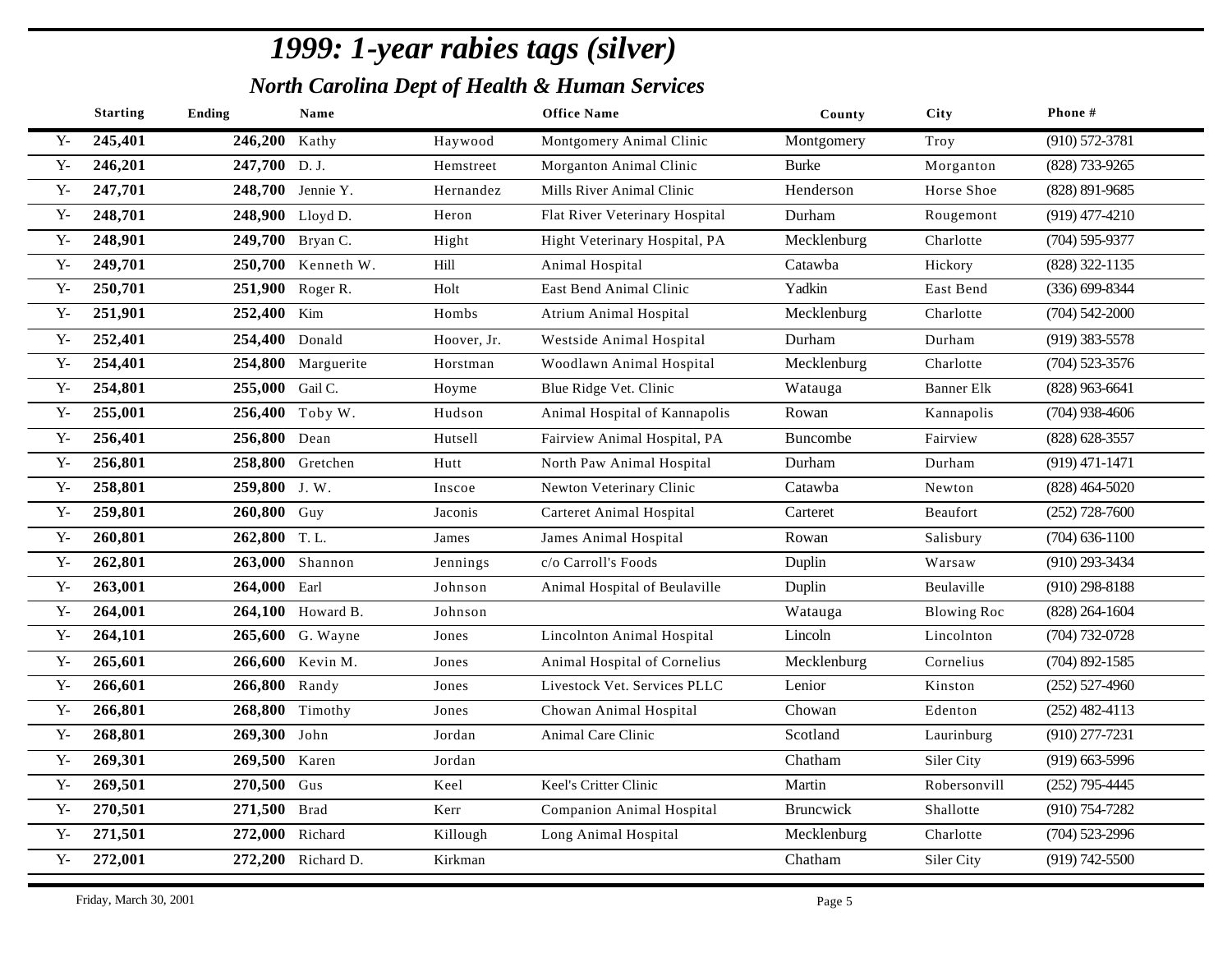|                | <b>Starting</b> | <b>Ending</b>   | Name               |             | <b>Office Name</b>               | County       | City               | Phone #            |
|----------------|-----------------|-----------------|--------------------|-------------|----------------------------------|--------------|--------------------|--------------------|
| $Y -$          | 245,401         | 246,200         | Kathy              | Haywood     | Montgomery Animal Clinic         | Montgomery   | Troy               | $(910) 572 - 3781$ |
| $\mathbf{Y}$ - | 246,201         | 247,700 D.J.    |                    | Hemstreet   | Morganton Animal Clinic          | <b>Burke</b> | Morganton          | (828) 733-9265     |
| ${\bf Y}$      | 247,701         |                 | 248,700 Jennie Y.  | Hernandez   | Mills River Animal Clinic        | Henderson    | Horse Shoe         | $(828)$ 891-9685   |
| ${\bf Y}$      | 248,701         |                 | 248,900 Lloyd D.   | Heron       | Flat River Veterinary Hospital   | Durham       | Rougemont          | $(919)$ 477-4210   |
| ${\bf Y}$      | 248,901         |                 | 249,700 Bryan C.   | Hight       | Hight Veterinary Hospital, PA    | Mecklenburg  | Charlotte          | $(704)$ 595-9377   |
| ${\bf Y}$      | 249,701         |                 | 250,700 Kenneth W. | Hill        | Animal Hospital                  | Catawba      | Hickory            | (828) 322-1135     |
| ${\bf Y}$      | 250,701         |                 | 251,900 Roger R.   | Holt        | East Bend Animal Clinic          | Yadkin       | East Bend          | $(336) 699 - 8344$ |
| $Y -$          | 251,901         | 252,400 Kim     |                    | Hombs       | <b>Atrium Animal Hospital</b>    | Mecklenburg  | Charlotte          | $(704)$ 542-2000   |
| ${\bf Y}$      | 252,401         | 254,400 Donald  |                    | Hoover, Jr. | Westside Animal Hospital         | Durham       | Durham             | $(919)$ 383-5578   |
| $Y -$          | 254,401         |                 | 254,800 Marguerite | Horstman    | Woodlawn Animal Hospital         | Mecklenburg  | Charlotte          | $(704)$ 523-3576   |
| $Y -$          | 254,801         | 255,000 Gail C. |                    | Hoyme       | Blue Ridge Vet. Clinic           | Watauga      | <b>Banner Elk</b>  | $(828)$ 963-6641   |
| ${\bf Y}$      | 255,001         |                 | 256,400 Toby W.    | Hudson      | Animal Hospital of Kannapolis    | Rowan        | Kannapolis         | $(704)$ 938-4606   |
| $\mathbf{Y}$   | 256,401         | 256,800 Dean    |                    | Hutsell     | Fairview Animal Hospital, PA     | Buncombe     | Fairview           | (828) 628-3557     |
| ${\bf Y}$ -    | 256,801         |                 | 258,800 Gretchen   | Hutt        | North Paw Animal Hospital        | Durham       | Durham             | $(919)$ 471-1471   |
| $Y -$          | 258,801         | 259,800 J.W.    |                    | Inscoe      | Newton Veterinary Clinic         | Catawba      | Newton             | $(828)$ 464-5020   |
| $\mathbf{Y}$ - | 259,801         | 260,800 Guy     |                    | Jaconis     | Carteret Animal Hospital         | Carteret     | Beaufort           | $(252)$ 728-7600   |
| ${\bf Y}$      | 260,801         | 262,800 T.L.    |                    | James       | James Animal Hospital            | Rowan        | Salisbury          | $(704)$ 636-1100   |
| ${\bf Y}$      | 262,801         |                 | 263,000 Shannon    | Jennings    | c/o Carroll's Foods              | Duplin       | Warsaw             | $(910)$ 293-3434   |
| ${\bf Y}$ -    | 263,001         | 264,000 Earl    |                    | Johnson     | Animal Hospital of Beulaville    | Duplin       | Beulaville         | $(910)$ 298-8188   |
| ${\bf Y}$      | 264,001         |                 | 264,100 Howard B.  | Johnson     |                                  | Watauga      | <b>Blowing Roc</b> | $(828)$ 264-1604   |
| $\mathbf{Y}$   | 264,101         |                 | 265,600 G. Wayne   | Jones       | Lincolnton Animal Hospital       | Lincoln      | Lincolnton         | $(704) 732 - 0728$ |
| ${\bf Y}$      | 265,601         |                 | 266,600 Kevin M.   | Jones       | Animal Hospital of Cornelius     | Mecklenburg  | Cornelius          | $(704)$ 892-1585   |
| ${\bf Y}$      | 266,601         | 266,800 Randy   |                    | Jones       | Livestock Vet. Services PLLC     | Lenior       | Kinston            | $(252)$ 527-4960   |
| ${\bf Y}$      | 266,801         |                 | 268,800 Timothy    | Jones       | Chowan Animal Hospital           | Chowan       | Edenton            | $(252)$ 482-4113   |
| $Y -$          | 268,801         | 269,300 John    |                    | Jordan      | Animal Care Clinic               | Scotland     | Laurinburg         | $(910)$ 277-7231   |
| $Y -$          | 269,301         | 269,500         | Karen              | Jordan      |                                  | Chatham      | Siler City         | $(919)$ 663-5996   |
| $Y -$          | 269,501         | 270,500 Gus     |                    | Keel        | Keel's Critter Clinic            | Martin       | Robersonvill       | $(252)$ 795-4445   |
| $Y -$          | 270,501         | 271,500 Brad    |                    | Kerr        | <b>Companion Animal Hospital</b> | Bruncwick    | Shallotte          | $(910)$ 754-7282   |
| ${\bf Y}$      | 271,501         | 272,000 Richard |                    | Killough    | Long Animal Hospital             | Mecklenburg  | Charlotte          | $(704)$ 523-2996   |
| ${\bf Y}$ -    | 272,001         |                 | 272,200 Richard D. | Kirkman     |                                  | Chatham      | Siler City         | $(919) 742 - 5500$ |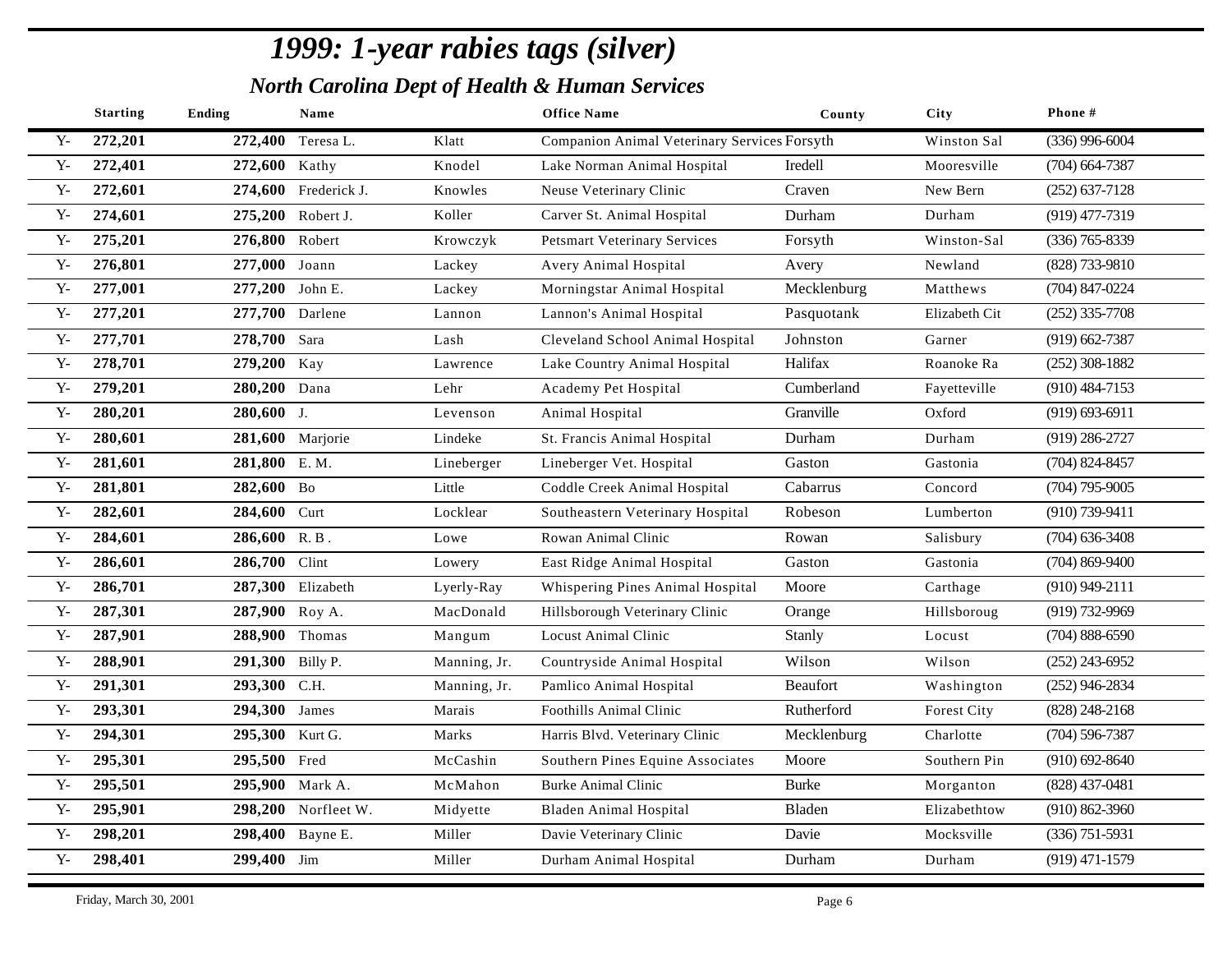|              | <b>Starting</b> | <b>Ending</b>    | Name                 |              | <b>Office Name</b>                           | County          | City          | Phone#             |
|--------------|-----------------|------------------|----------------------|--------------|----------------------------------------------|-----------------|---------------|--------------------|
| $Y -$        | 272,201         | 272,400          | Teresa L.            | Klatt        | Companion Animal Veterinary Services Forsyth |                 | Winston Sal   | $(336)$ 996-6004   |
| $\mathbf{Y}$ | 272,401         | 272,600 Kathy    |                      | Knodel       | Lake Norman Animal Hospital                  | Iredell         | Mooresville   | $(704)$ 664-7387   |
| $Y -$        | 272,601         |                  | 274,600 Frederick J. | Knowles      | Neuse Veterinary Clinic                      | Craven          | New Bern      | $(252)$ 637-7128   |
| $Y -$        | 274,601         |                  | 275,200 Robert J.    | Koller       | Carver St. Animal Hospital                   | Durham          | Durham        | $(919)$ 477-7319   |
| $Y -$        | 275,201         | 276,800 Robert   |                      | Krowczyk     | <b>Petsmart Veterinary Services</b>          | Forsyth         | Winston-Sal   | $(336)$ 765-8339   |
| $Y -$        | 276,801         | 277,000 Joann    |                      | Lackey       | Avery Animal Hospital                        | Avery           | Newland       | (828) 733-9810     |
| $Y -$        | 277,001         | 277,200 John E.  |                      | Lackey       | Morningstar Animal Hospital                  | Mecklenburg     | Matthews      | $(704)$ 847-0224   |
| $Y -$        | 277,201         | 277,700 Darlene  |                      | Lannon       | Lannon's Animal Hospital                     | Pasquotank      | Elizabeth Cit | $(252)$ 335-7708   |
| $Y -$        | 277,701         | 278,700 Sara     |                      | Lash         | Cleveland School Animal Hospital             | Johnston        | Garner        | $(919)$ 662-7387   |
| $Y -$        | 278,701         | 279,200 Kay      |                      | Lawrence     | Lake Country Animal Hospital                 | Halifax         | Roanoke Ra    | $(252)$ 308-1882   |
| $Y -$        | 279,201         | 280,200 Dana     |                      | Lehr         | Academy Pet Hospital                         | Cumberland      | Fayetteville  | $(910)$ 484-7153   |
| $Y -$        | 280,201         | 280,600 J.       |                      | Levenson     | Animal Hospital                              | Granville       | Oxford        | $(919) 693 - 6911$ |
| $Y -$        | 280,601         |                  | 281,600 Marjorie     | Lindeke      | St. Francis Animal Hospital                  | Durham          | Durham        | $(919)$ 286-2727   |
| $\mathbf{Y}$ | 281,601         | 281,800 E.M.     |                      | Lineberger   | Lineberger Vet. Hospital                     | Gaston          | Gastonia      | $(704)$ 824-8457   |
| $Y -$        | 281,801         | 282,600 Bo       |                      | Little       | Coddle Creek Animal Hospital                 | Cabarrus        | Concord       | $(704)$ 795-9005   |
| $Y -$        | 282,601         | 284,600 Curt     |                      | Locklear     | Southeastern Veterinary Hospital             | Robeson         | Lumberton     | (910) 739-9411     |
| $Y -$        | 284,601         | $286,600$ R.B.   |                      | Lowe         | Rowan Animal Clinic                          | Rowan           | Salisbury     | $(704)$ 636-3408   |
| $Y -$        | 286,601         | 286,700 Clint    |                      | Lowery       | East Ridge Animal Hospital                   | Gaston          | Gastonia      | $(704)$ 869-9400   |
| $\mathbf{Y}$ | 286,701         |                  | 287,300 Elizabeth    | Lyerly-Ray   | Whispering Pines Animal Hospital             | Moore           | Carthage      | $(910)$ 949-2111   |
| $Y -$        | 287,301         | 287,900 Roy A.   |                      | MacDonald    | Hillsborough Veterinary Clinic               | Orange          | Hillsboroug   | $(919) 732 - 9969$ |
| $Y -$        | 287,901         | 288,900 Thomas   |                      | Mangum       | Locust Animal Clinic                         | Stanly          | Locust        | $(704) 888 - 6590$ |
| $Y -$        | 288,901         | 291,300 Billy P. |                      | Manning, Jr. | Countryside Animal Hospital                  | Wilson          | Wilson        | $(252)$ 243-6952   |
| $Y -$        | 291,301         | 293,300 С.Н.     |                      | Manning, Jr. | Pamlico Animal Hospital                      | <b>Beaufort</b> | Washington    | $(252)$ 946-2834   |
| $Y -$        | 293,301         | 294,300 James    |                      | Marais       | <b>Foothills Animal Clinic</b>               | Rutherford      | Forest City   | $(828)$ 248-2168   |
| $Y -$        | 294,301         | 295,300 Kurt G.  |                      | Marks        | Harris Blvd. Veterinary Clinic               | Mecklenburg     | Charlotte     | $(704)$ 596-7387   |
| $Y -$        | 295,301         | 295,500 Fred     |                      | McCashin     | Southern Pines Equine Associates             | Moore           | Southern Pin  | $(910) 692 - 8640$ |
| $Y -$        | 295,501         | 295,900 Mark A.  |                      | McMahon      | <b>Burke Animal Clinic</b>                   | <b>Burke</b>    | Morganton     | (828) 437-0481     |
| $Y -$        | 295,901         |                  | 298,200 Norfleet W.  | Midyette     | Bladen Animal Hospital                       | Bladen          | Elizabethtow  | $(910) 862 - 3960$ |
| $Y -$        | 298,201         |                  | 298,400 Bayne E.     | Miller       | Davie Veterinary Clinic                      | Davie           | Mocksville    | $(336)$ 751-5931   |
| $Y -$        | 298,401         | 299,400 Jim      |                      | Miller       | Durham Animal Hospital                       | Durham          | Durham        | $(919)$ 471-1579   |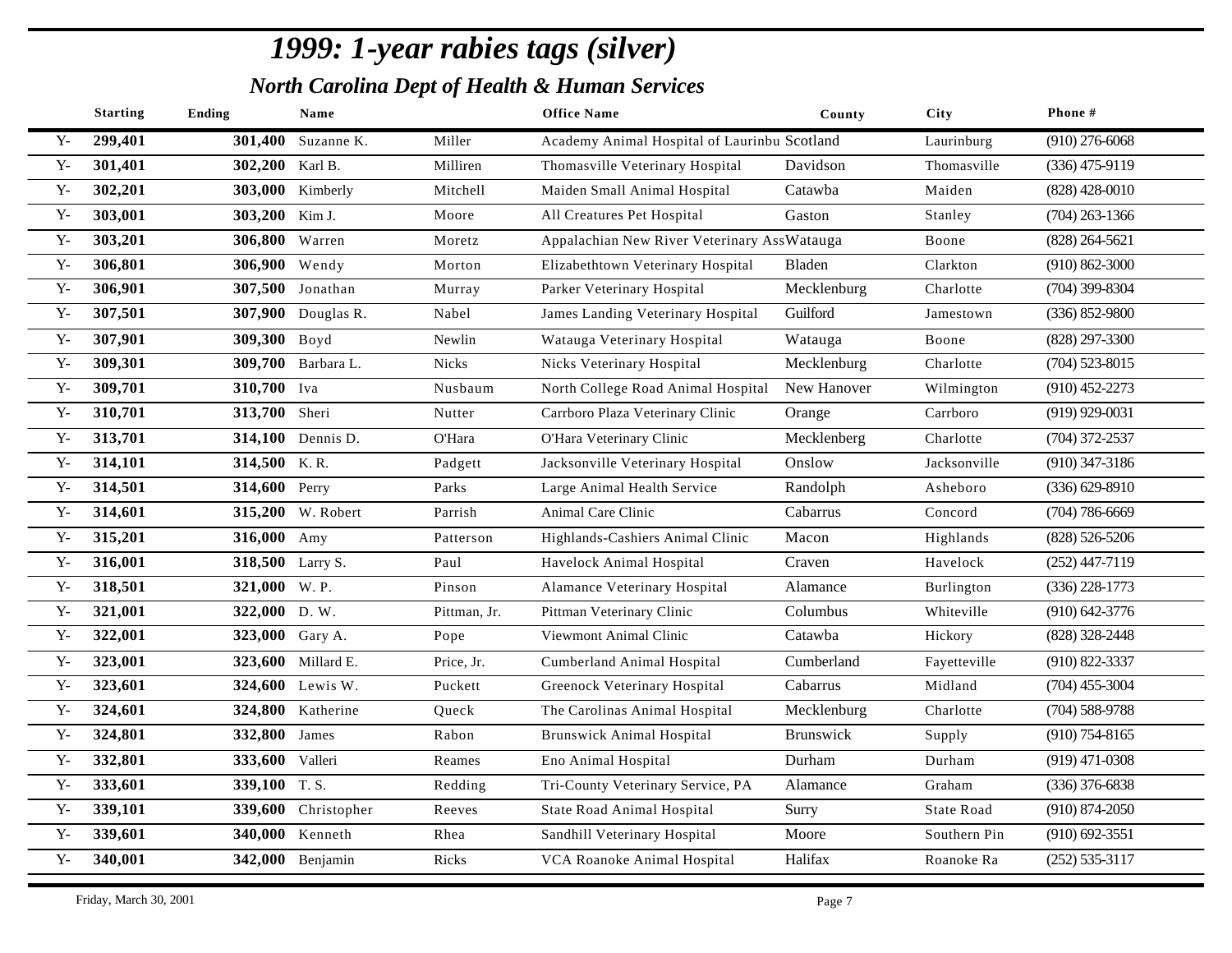|              | <b>Starting</b> | <b>Ending</b>    | Name                |              | <b>Office Name</b>                           | County           | City              | Phone#             |
|--------------|-----------------|------------------|---------------------|--------------|----------------------------------------------|------------------|-------------------|--------------------|
| $Y -$        | 299,401         |                  | 301,400 Suzanne K.  | Miller       | Academy Animal Hospital of Laurinbu Scotland |                  | Laurinburg        | $(910)$ 276-6068   |
| $\mathbf{Y}$ | 301,401         | 302,200 Karl B.  |                     | Milliren     | Thomasville Veterinary Hospital              | Davidson         | Thomasville       | $(336)$ 475-9119   |
| $Y -$        | 302,201         |                  | 303,000 Kimberly    | Mitchell     | Maiden Small Animal Hospital                 | Catawba          | Maiden            | $(828)$ 428-0010   |
| $\mathbf{Y}$ | 303,001         | 303,200 Kim J.   |                     | Moore        | All Creatures Pet Hospital                   | Gaston           | Stanley           | $(704)$ 263-1366   |
| $Y -$        | 303,201         | 306,800 Warren   |                     | Moretz       | Appalachian New River Veterinary AssWatauga  |                  | Boone             | $(828)$ 264-5621   |
| $Y -$        | 306,801         | 306,900 Wendy    |                     | Morton       | Elizabethtown Veterinary Hospital            | Bladen           | Clarkton          | $(910) 862 - 3000$ |
| $\mathbf{Y}$ | 306,901         |                  | 307,500 Jonathan    | Murray       | Parker Veterinary Hospital                   | Mecklenburg      | Charlotte         | $(704)$ 399-8304   |
| $Y -$        | 307,501         |                  | 307,900 Douglas R.  | Nabel        | James Landing Veterinary Hospital            | Guilford         | Jamestown         | $(336) 852 - 9800$ |
| $Y -$        | 307,901         | 309,300 Boyd     |                     | Newlin       | Watauga Veterinary Hospital                  | Watauga          | Boone             | (828) 297-3300     |
| $Y -$        | 309,301         |                  | 309,700 Barbara L.  | <b>Nicks</b> | Nicks Veterinary Hospital                    | Mecklenburg      | Charlotte         | $(704)$ 523-8015   |
| $Y -$        | 309,701         | 310,700 Iva      |                     | Nusbaum      | North College Road Animal Hospital           | New Hanover      | Wilmington        | $(910)$ 452-2273   |
| $Y -$        | 310,701         | 313,700 Sheri    |                     | Nutter       | Carrboro Plaza Veterinary Clinic             | Orange           | Carrboro          | $(919)$ 929-0031   |
| $Y -$        | 313,701         |                  | 314,100 Dennis D.   | O'Hara       | O'Hara Veterinary Clinic                     | Mecklenberg      | Charlotte         | $(704)$ 372-2537   |
| $Y -$        | 314,101         | 314,500 K.R.     |                     | Padgett      | Jacksonville Veterinary Hospital             | Onslow           | Jacksonville      | $(910)$ 347-3186   |
| $Y -$        | 314,501         | 314,600 Perry    |                     | Parks        | Large Animal Health Service                  | Randolph         | Asheboro          | $(336) 629 - 8910$ |
| $\mathbf{Y}$ | 314,601         |                  | 315,200 W. Robert   | Parrish      | Animal Care Clinic                           | Cabarrus         | Concord           | $(704) 786 - 6669$ |
| $Y -$        | 315,201         | 316,000 Amy      |                     | Patterson    | Highlands-Cashiers Animal Clinic             | Macon            | Highlands         | $(828)$ 526-5206   |
| $Y -$        | 316,001         | 318,500 Larry S. |                     | Paul         | Havelock Animal Hospital                     | Craven           | Havelock          | $(252)$ 447-7119   |
| $Y -$        | 318,501         | 321,000 W.P.     |                     | Pinson       | Alamance Veterinary Hospital                 | Alamance         | Burlington        | $(336)$ 228-1773   |
| $Y -$        | 321,001         | 322,000 D.W.     |                     | Pittman, Jr. | Pittman Veterinary Clinic                    | Columbus         | Whiteville        | $(910)$ 642-3776   |
| $Y -$        | 322,001         | 323,000 Gary A.  |                     | Pope         | Viewmont Animal Clinic                       | Catawba          | Hickory           | (828) 328-2448     |
| $Y -$        | 323,001         |                  | 323,600 Millard E.  | Price, Jr.   | Cumberland Animal Hospital                   | Cumberland       | Fayetteville      | (910) 822-3337     |
| $Y -$        | 323,601         |                  | 324,600 Lewis W.    | Puckett      | Greenock Veterinary Hospital                 | Cabarrus         | Midland           | $(704)$ 455-3004   |
| $Y -$        | 324,601         |                  | 324,800 Katherine   | Queck        | The Carolinas Animal Hospital                | Mecklenburg      | Charlotte         | $(704)$ 588-9788   |
| $Y -$        | 324,801         | 332,800 James    |                     | Rabon        | <b>Brunswick Animal Hospital</b>             | <b>Brunswick</b> | Supply            | $(910) 754 - 8165$ |
| $Y -$        | 332,801         | 333,600 Valleri  |                     | Reames       | Eno Animal Hospital                          | Durham           | Durham            | $(919)$ 471-0308   |
| $Y -$        | 333,601         | 339,100 T.S.     |                     | Redding      | Tri-County Veterinary Service, PA            | Alamance         | Graham            | $(336)$ 376-6838   |
| $Y -$        | 339,101         |                  | 339,600 Christopher | Reeves       | State Road Animal Hospital                   | Surry            | <b>State Road</b> | $(910)$ 874-2050   |
| $Y -$        | 339,601         |                  | 340,000 Kenneth     | Rhea         | Sandhill Veterinary Hospital                 | Moore            | Southern Pin      | $(910) 692 - 3551$ |
| $Y -$        | 340,001         |                  | 342,000 Benjamin    | Ricks        | VCA Roanoke Animal Hospital                  | Halifax          | Roanoke Ra        | $(252) 535 - 3117$ |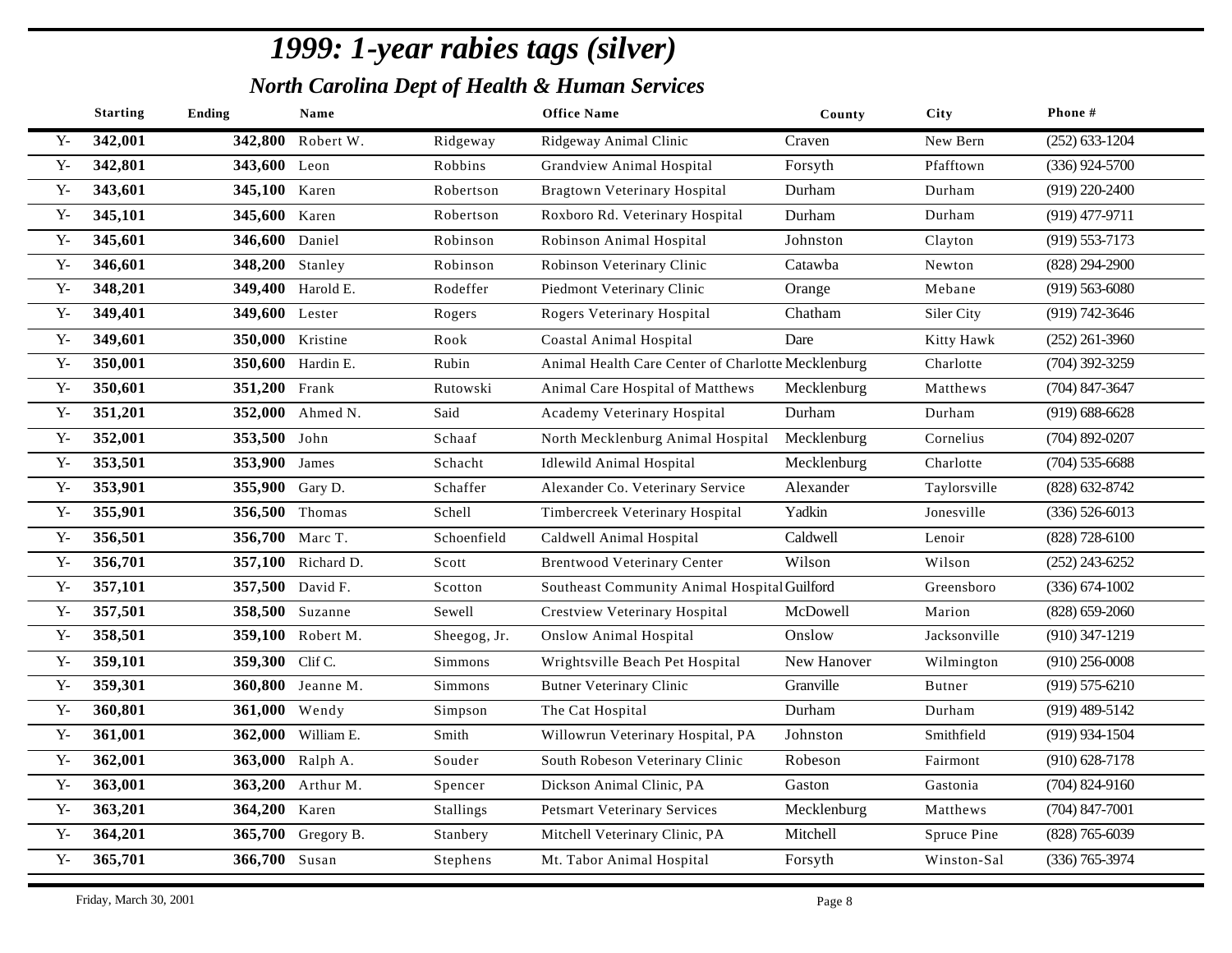|              | <b>Starting</b> | Ending           | Name               |              | <b>Office Name</b>                                 | County      | City         | Phone #            |
|--------------|-----------------|------------------|--------------------|--------------|----------------------------------------------------|-------------|--------------|--------------------|
| Y-           | 342,001         | 342,800          | Robert W.          | Ridgeway     | Ridgeway Animal Clinic                             | Craven      | New Bern     | $(252)$ 633-1204   |
| $\mathbf{Y}$ | 342,801         | 343,600 Leon     |                    | Robbins      | Grandview Animal Hospital                          | Forsyth     | Pfafftown    | $(336)$ 924-5700   |
| $Y -$        | 343,601         | 345,100 Karen    |                    | Robertson    | Bragtown Veterinary Hospital                       | Durham      | Durham       | $(919)$ 220-2400   |
| $\mathbf{Y}$ | 345,101         | 345,600 Karen    |                    | Robertson    | Roxboro Rd. Veterinary Hospital                    | Durham      | Durham       | $(919)$ 477-9711   |
| ${\bf Y}$    | 345,601         | 346,600 Daniel   |                    | Robinson     | Robinson Animal Hospital                           | Johnston    | Clayton      | $(919) 553 - 7173$ |
| $\mathbf{Y}$ | 346,601         | 348,200 Stanley  |                    | Robinson     | Robinson Veterinary Clinic                         | Catawba     | Newton       | $(828)$ 294-2900   |
| $\mathbf{Y}$ | 348,201         |                  | 349,400 Harold E.  | Rodeffer     | Piedmont Veterinary Clinic                         | Orange      | Mebane       | $(919)$ 563-6080   |
| ${\bf Y}$    | 349,401         | 349,600 Lester   |                    | Rogers       | Rogers Veterinary Hospital                         | Chatham     | Siler City   | (919) 742-3646     |
| ${\bf Y}$ -  | 349,601         | 350,000 Kristine |                    | Rook         | <b>Coastal Animal Hospital</b>                     | Dare        | Kitty Hawk   | $(252)$ 261-3960   |
| ${\bf Y}$    | 350,001         |                  | 350,600 Hardin E.  | Rubin        | Animal Health Care Center of Charlotte Mecklenburg |             | Charlotte    | $(704)$ 392-3259   |
| $\mathbf{Y}$ | 350,601         | 351,200 Frank    |                    | Rutowski     | Animal Care Hospital of Matthews                   | Mecklenburg | Matthews     | $(704)$ 847-3647   |
| $Y -$        | 351,201         |                  | 352,000 Ahmed N.   | Said         | Academy Veterinary Hospital                        | Durham      | Durham       | $(919) 688 - 6628$ |
| ${\bf Y}$    | 352,001         | 353,500 John     |                    | Schaaf       | North Mecklenburg Animal Hospital                  | Mecklenburg | Cornelius    | $(704)$ 892-0207   |
| $Y -$        | 353,501         | 353,900 James    |                    | Schacht      | <b>Idlewild Animal Hospital</b>                    | Mecklenburg | Charlotte    | $(704)$ 535-6688   |
| ${\bf Y}$    | 353,901         | 355,900 Gary D.  |                    | Schaffer     | Alexander Co. Veterinary Service                   | Alexander   | Taylorsville | $(828) 632 - 8742$ |
| $\mathbf{Y}$ | 355,901         | 356,500 Thomas   |                    | Schell       | Timbercreek Veterinary Hospital                    | Yadkin      | Jonesville   | $(336) 526 - 6013$ |
| $Y -$        | 356,501         | 356,700 Marc T.  |                    | Schoenfield  | Caldwell Animal Hospital                           | Caldwell    | Lenoir       | $(828)$ 728-6100   |
| $Y -$        | 356,701         |                  | 357,100 Richard D. | Scott        | <b>Brentwood Veterinary Center</b>                 | Wilson      | Wilson       | $(252)$ 243-6252   |
| ${\bf Y}$    | 357,101         | 357,500 David F. |                    | Scotton      | Southeast Community Animal Hospital Guilford       |             | Greensboro   | $(336) 674 - 1002$ |
| ${\bf Y}$    | 357,501         |                  | 358,500 Suzanne    | Sewell       | Crestview Veterinary Hospital                      | McDowell    | Marion       | $(828) 659 - 2060$ |
| ${\bf Y}$    | 358,501         |                  | 359,100 Robert M.  | Sheegog, Jr. | <b>Onslow Animal Hospital</b>                      | Onslow      | Jacksonville | $(910)$ 347-1219   |
| ${\bf Y}$    | 359,101         | 359,300 Clif C.  |                    | Simmons      | Wrightsville Beach Pet Hospital                    | New Hanover | Wilmington   | $(910)$ 256-0008   |
| ${\bf Y}$    | 359,301         |                  | 360,800 Jeanne M.  | Simmons      | <b>Butner Veterinary Clinic</b>                    | Granville   | Butner       | $(919) 575 - 6210$ |
| $Y -$        | 360,801         | 361,000 Wendy    |                    | Simpson      | The Cat Hospital                                   | Durham      | Durham       | $(919)$ 489-5142   |
| $Y -$        | 361,001         |                  | 362,000 William E. | Smith        | Willowrun Veterinary Hospital, PA                  | Johnston    | Smithfield   | $(919)$ 934-1504   |
| $Y -$        | 362,001         | 363,000          | Ralph A.           | Souder       | South Robeson Veterinary Clinic                    | Robeson     | Fairmont     | $(910)$ 628-7178   |
| $\mathbf{Y}$ | 363,001         |                  | 363,200 Arthur M.  | Spencer      | Dickson Animal Clinic, PA                          | Gaston      | Gastonia     | $(704) 824 - 9160$ |
| $Y -$        | 363,201         | 364,200 Karen    |                    | Stallings    | <b>Petsmart Veterinary Services</b>                | Mecklenburg | Matthews     | $(704)$ 847-7001   |
| ${\bf Y}$    | 364,201         |                  | 365,700 Gregory B. | Stanbery     | Mitchell Veterinary Clinic, PA                     | Mitchell    | Spruce Pine  | $(828)$ 765-6039   |
| ${\bf Y}$ -  | 365,701         | 366,700 Susan    |                    | Stephens     | Mt. Tabor Animal Hospital                          | Forsyth     | Winston-Sal  | $(336)$ 765-3974   |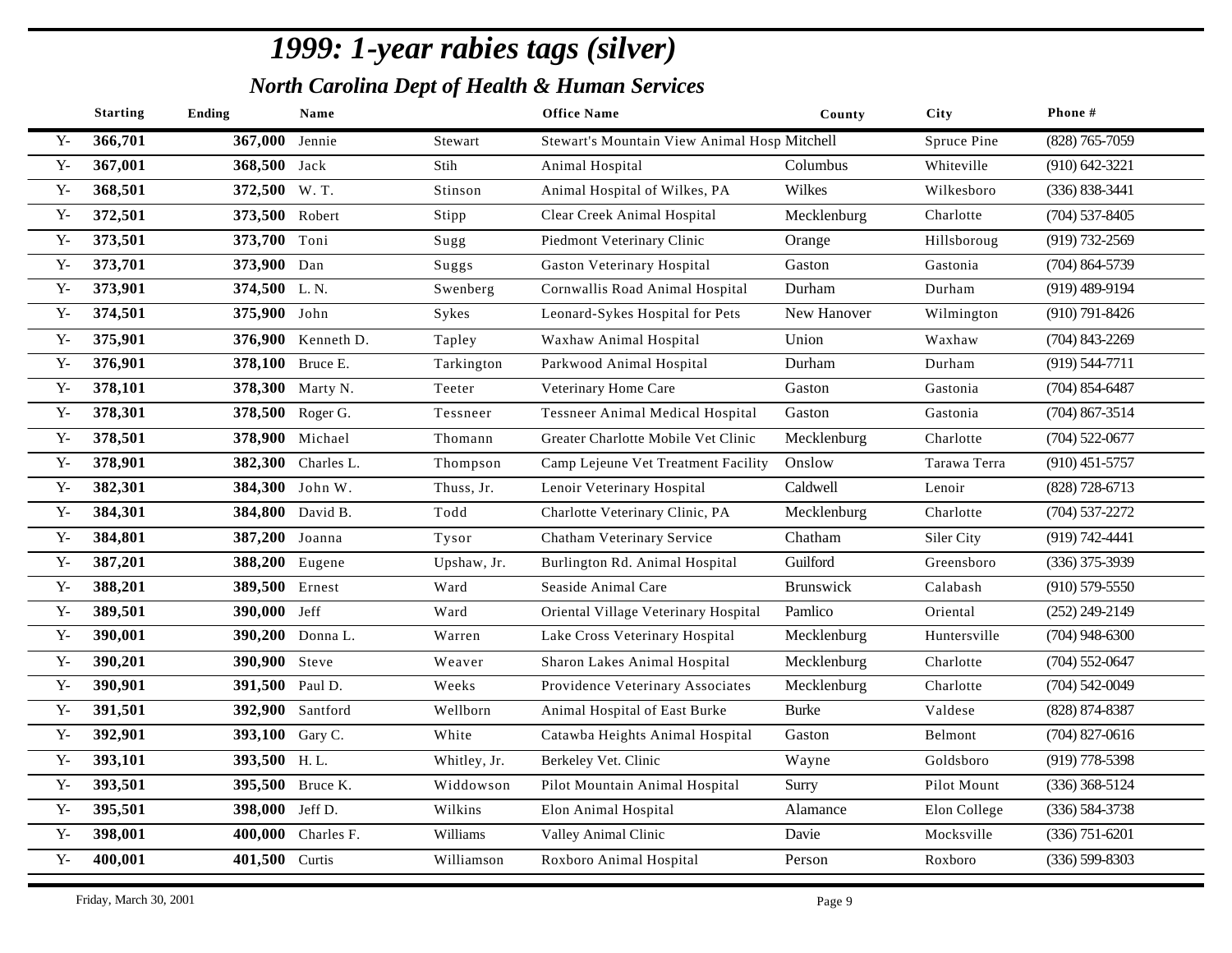|       | <b>Starting</b> | <b>Ending</b>    | Name               |              | <b>Office Name</b>                           | County           | <b>City</b>  | Phone#             |
|-------|-----------------|------------------|--------------------|--------------|----------------------------------------------|------------------|--------------|--------------------|
| $Y -$ | 366,701         | 367,000 Jennie   |                    | Stewart      | Stewart's Mountain View Animal Hosp Mitchell |                  | Spruce Pine  | $(828)$ 765-7059   |
| $Y -$ | 367,001         | 368,500 Jack     |                    | Stih         | Animal Hospital                              | Columbus         | Whiteville   | $(910) 642 - 3221$ |
| $Y -$ | 368,501         | 372,500 W.T.     |                    | Stinson      | Animal Hospital of Wilkes, PA                | Wilkes           | Wilkesboro   | $(336) 838 - 3441$ |
| $Y -$ | 372,501         | 373,500 Robert   |                    | Stipp        | Clear Creek Animal Hospital                  | Mecklenburg      | Charlotte    | $(704)$ 537-8405   |
| $Y -$ | 373,501         | 373,700 Toni     |                    | Sugg         | Piedmont Veterinary Clinic                   | Orange           | Hillsboroug  | $(919) 732 - 2569$ |
| $Y -$ | 373,701         | 373,900 Dan      |                    | Suggs        | <b>Gaston Veterinary Hospital</b>            | Gaston           | Gastonia     | $(704)$ 864-5739   |
| $Y -$ | 373,901         | 374,500 L.N.     |                    | Swenberg     | Cornwallis Road Animal Hospital              | Durham           | Durham       | $(919)$ 489-9194   |
| $Y -$ | 374,501         | 375,900 John     |                    | Sykes        | Leonard-Sykes Hospital for Pets              | New Hanover      | Wilmington   | $(910) 791 - 8426$ |
| $Y -$ | 375,901         |                  | 376,900 Kenneth D. | Tapley       | Waxhaw Animal Hospital                       | Union            | Waxhaw       | $(704)$ 843-2269   |
| $Y -$ | 376,901         | 378,100 Bruce E. |                    | Tarkington   | Parkwood Animal Hospital                     | Durham           | Durham       | $(919) 544 - 7711$ |
| $Y -$ | 378,101         |                  | 378,300 Marty N.   | Teeter       | Veterinary Home Care                         | Gaston           | Gastonia     | $(704)$ 854-6487   |
| $Y -$ | 378,301         |                  | 378,500 Roger G.   | Tessneer     | <b>Tessneer Animal Medical Hospital</b>      | Gaston           | Gastonia     | $(704)$ 867-3514   |
| $Y -$ | 378,501         |                  | 378,900 Michael    | Thomann      | Greater Charlotte Mobile Vet Clinic          | Mecklenburg      | Charlotte    | $(704)$ 522-0677   |
| $Y -$ | 378,901         | 382,300          | Charles L.         | Thompson     | Camp Lejeune Vet Treatment Facility          | Onslow           | Tarawa Terra | $(910)$ 451-5757   |
| $Y -$ | 382,301         |                  | 384,300 John W.    | Thuss, Jr.   | Lenoir Veterinary Hospital                   | Caldwell         | Lenoir       | (828) 728-6713     |
| $Y -$ | 384,301         |                  | 384,800 David B.   | Todd         | Charlotte Veterinary Clinic, PA              | Mecklenburg      | Charlotte    | $(704)$ 537-2272   |
| $Y -$ | 384,801         | 387,200 Joanna   |                    | Tysor        | Chatham Veterinary Service                   | Chatham          | Siler City   | $(919) 742 - 4441$ |
| $Y -$ | 387,201         | 388,200 Eugene   |                    | Upshaw, Jr.  | Burlington Rd. Animal Hospital               | Guilford         | Greensboro   | $(336)$ 375-3939   |
| $Y -$ | 388,201         | 389,500 Ernest   |                    | Ward         | Seaside Animal Care                          | <b>Brunswick</b> | Calabash     | $(910)$ 579-5550   |
| $Y -$ | 389,501         | 390,000 Jeff     |                    | Ward         | Oriental Village Veterinary Hospital         | Pamlico          | Oriental     | $(252)$ 249-2149   |
| $Y -$ | 390,001         |                  | 390,200 Donna L.   | Warren       | Lake Cross Veterinary Hospital               | Mecklenburg      | Huntersville | $(704)$ 948-6300   |
| $Y -$ | 390,201         | 390,900 Steve    |                    | Weaver       | Sharon Lakes Animal Hospital                 | Mecklenburg      | Charlotte    | $(704)$ 552-0647   |
| $Y -$ | 390,901         | 391,500 Paul D.  |                    | Weeks        | Providence Veterinary Associates             | Mecklenburg      | Charlotte    | $(704)$ 542-0049   |
| $Y -$ | 391,501         |                  | 392,900 Santford   | Wellborn     | Animal Hospital of East Burke                | <b>Burke</b>     | Valdese      | (828) 874-8387     |
| $Y -$ | 392,901         | 393,100 Gary C.  |                    | White        | Catawba Heights Animal Hospital              | Gaston           | Belmont      | $(704)$ 827-0616   |
| $Y -$ | 393,101         | 393,500 H.L.     |                    | Whitley, Jr. | Berkeley Vet. Clinic                         | Wayne            | Goldsboro    | (919) 778-5398     |
| $Y -$ | 393,501         |                  | 395,500 Bruce K.   | Widdowson    | Pilot Mountain Animal Hospital               | Surry            | Pilot Mount  | $(336)$ 368-5124   |
| $Y -$ | 395,501         | 398,000 Jeff D.  |                    | Wilkins      | Elon Animal Hospital                         | Alamance         | Elon College | $(336) 584 - 3738$ |
| $Y -$ | 398,001         | 400,000          | Charles F.         | Williams     | Valley Animal Clinic                         | Davie            | Mocksville   | $(336)$ 751-6201   |
| $Y -$ | 400,001         | 401,500 Curtis   |                    | Williamson   | Roxboro Animal Hospital                      | Person           | Roxboro      | $(336) 599 - 8303$ |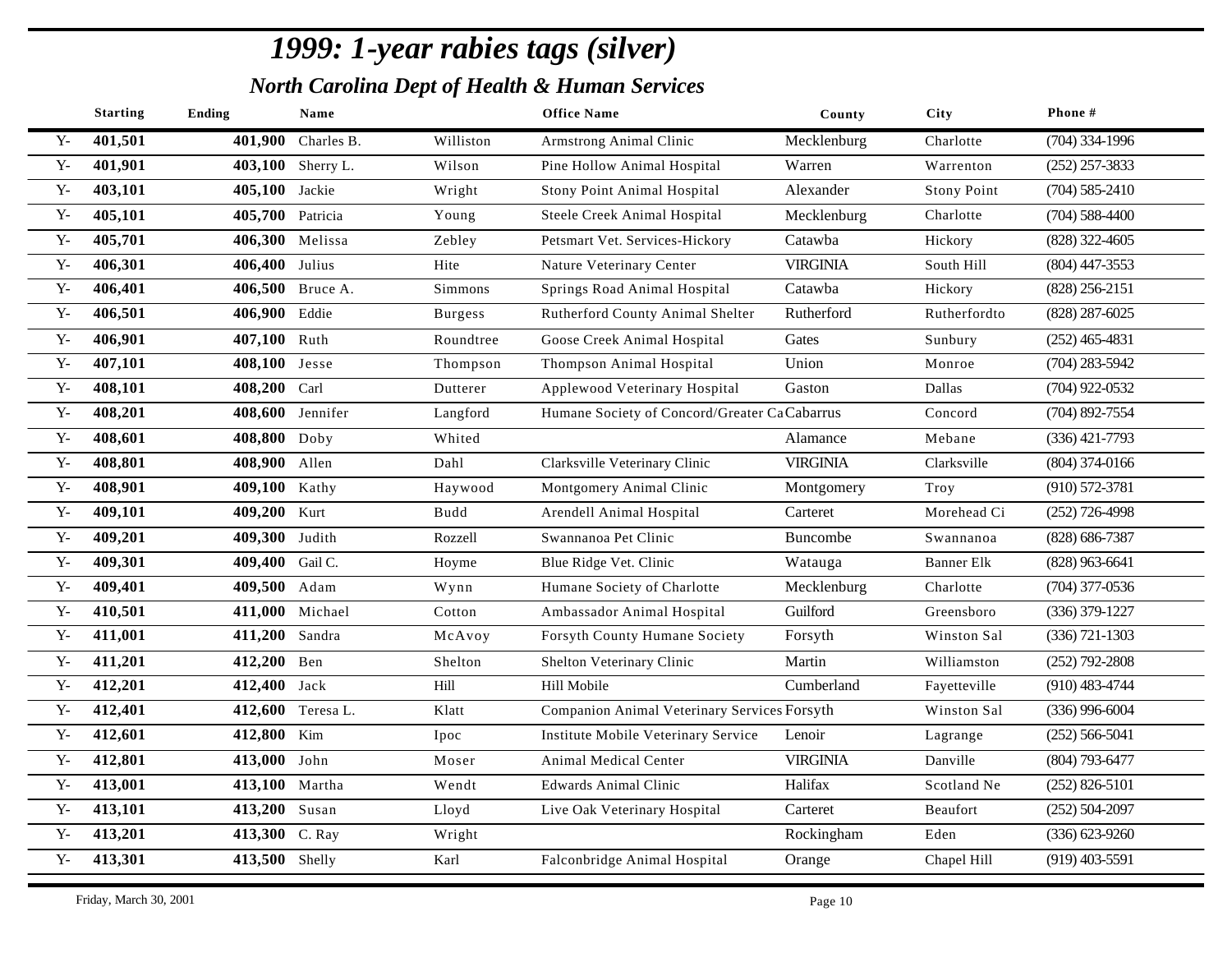|              | <b>Starting</b> | <b>Ending</b>    | Name               |                | <b>Office Name</b>                           | County          | City               | Phone#             |
|--------------|-----------------|------------------|--------------------|----------------|----------------------------------------------|-----------------|--------------------|--------------------|
| $Y -$        | 401,501         |                  | 401,900 Charles B. | Williston      | Armstrong Animal Clinic                      | Mecklenburg     | Charlotte          | $(704)$ 334-1996   |
| ${\bf Y}$    | 401,901         |                  | 403,100 Sherry L.  | Wilson         | Pine Hollow Animal Hospital                  | Warren          | Warrenton          | $(252)$ 257-3833   |
| $Y -$        | 403,101         | 405,100 Jackie   |                    | Wright         | Stony Point Animal Hospital                  | Alexander       | <b>Stony Point</b> | $(704)$ 585-2410   |
| $Y -$        | 405,101         | 405,700 Patricia |                    | Young          | Steele Creek Animal Hospital                 | Mecklenburg     | Charlotte          | $(704)$ 588-4400   |
| ${\bf Y}$    | 405,701         |                  | 406,300 Melissa    | Zebley         | Petsmart Vet. Services-Hickory               | Catawba         | Hickory            | $(828)$ 322-4605   |
| $Y -$        | 406,301         | 406,400 Julius   |                    | Hite           | Nature Veterinary Center                     | <b>VIRGINIA</b> | South Hill         | $(804)$ 447-3553   |
| ${\bf Y}$    | 406,401         |                  | 406,500 Bruce A.   | Simmons        | Springs Road Animal Hospital                 | Catawba         | Hickory            | (828) 256-2151     |
| $Y -$        | 406,501         | 406,900 Eddie    |                    | <b>Burgess</b> | Rutherford County Animal Shelter             | Rutherford      | Rutherfordto       | $(828)$ 287-6025   |
| $Y -$        | 406,901         | 407,100          | Ruth               | Roundtree      | Goose Creek Animal Hospital                  | Gates           | Sunbury            | $(252)$ 465-4831   |
| $Y -$        | 407,101         | 408,100 Jesse    |                    | Thompson       | Thompson Animal Hospital                     | Union           | Monroe             | $(704)$ 283-5942   |
| $Y -$        | 408,101         | 408,200 Carl     |                    | Dutterer       | Applewood Veterinary Hospital                | Gaston          | Dallas             | $(704)$ 922-0532   |
| ${\bf Y}$    | 408,201         |                  | 408,600 Jennifer   | Langford       | Humane Society of Concord/Greater CaCabarrus |                 | Concord            | $(704)$ 892-7554   |
| $Y -$        | 408,601         | 408,800 Doby     |                    | Whited         |                                              | Alamance        | Mebane             | $(336)$ 421-7793   |
| $Y -$        | 408,801         | 408,900 Allen    |                    | Dahl           | Clarksville Veterinary Clinic                | <b>VIRGINIA</b> | Clarksville        | $(804)$ 374-0166   |
| $Y -$        | 408,901         | 409,100 Kathy    |                    | Haywood        | Montgomery Animal Clinic                     | Montgomery      | Troy               | $(910) 572 - 3781$ |
| $Y -$        | 409,101         | 409,200 Kurt     |                    | Budd           | Arendell Animal Hospital                     | Carteret        | Morehead Ci        | $(252)$ 726-4998   |
| $\mathbf{Y}$ | 409,201         | 409,300 Judith   |                    | Rozzell        | Swannanoa Pet Clinic                         | Buncombe        | Swannanoa          | (828) 686-7387     |
| $\mathbf{Y}$ | 409,301         | 409,400 Gail C.  |                    | Hoyme          | Blue Ridge Vet. Clinic                       | Watauga         | <b>Banner Elk</b>  | $(828)$ 963-6641   |
| $\mathbf{Y}$ | 409,401         | 409,500 Adam     |                    | Wynn           | Humane Society of Charlotte                  | Mecklenburg     | Charlotte          | $(704)$ 377-0536   |
| $Y -$        | 410,501         |                  | 411,000 Michael    | Cotton         | Ambassador Animal Hospital                   | Guilford        | Greensboro         | $(336)$ 379-1227   |
| $Y -$        | 411,001         | 411,200          | Sandra             | McAvoy         | Forsyth County Humane Society                | Forsyth         | Winston Sal        | $(336)$ 721-1303   |
| $Y -$        | 411,201         | 412,200 Ben      |                    | Shelton        | Shelton Veterinary Clinic                    | Martin          | Williamston        | $(252)$ 792-2808   |
| $Y -$        | 412,201         | 412,400 Jack     |                    | Hill           | Hill Mobile                                  | Cumberland      | Fayetteville       | $(910)$ 483-4744   |
| $Y -$        | 412,401         | 412,600          | Teresa L.          | Klatt          | Companion Animal Veterinary Services Forsyth |                 | Winston Sal        | $(336)$ 996-6004   |
| $Y -$        | 412,601         | 412,800 Kim      |                    | Ipoc           | Institute Mobile Veterinary Service          | Lenoir          | Lagrange           | $(252) 566 - 5041$ |
| $Y -$        | 412,801         | 413,000          | John               | Moser          | Animal Medical Center                        | <b>VIRGINIA</b> | Danville           | (804) 793-6477     |
| $\mathbf{Y}$ | 413,001         | 413,100 Martha   |                    | Wendt          | <b>Edwards Animal Clinic</b>                 | Halifax         | Scotland Ne        | $(252)$ 826-5101   |
| $Y -$        | 413,101         | 413,200 Susan    |                    | Lloyd          | Live Oak Veterinary Hospital                 | Carteret        | Beaufort           | $(252)$ 504-2097   |
| ${\bf Y}$    | 413,201         | 413,300 C. Ray   |                    | Wright         |                                              | Rockingham      | Eden               | $(336) 623 - 9260$ |
| ${\bf Y}$ -  | 413,301         | 413,500 Shelly   |                    | Karl           | Falconbridge Animal Hospital                 | Orange          | Chapel Hill        | $(919)$ 403-5591   |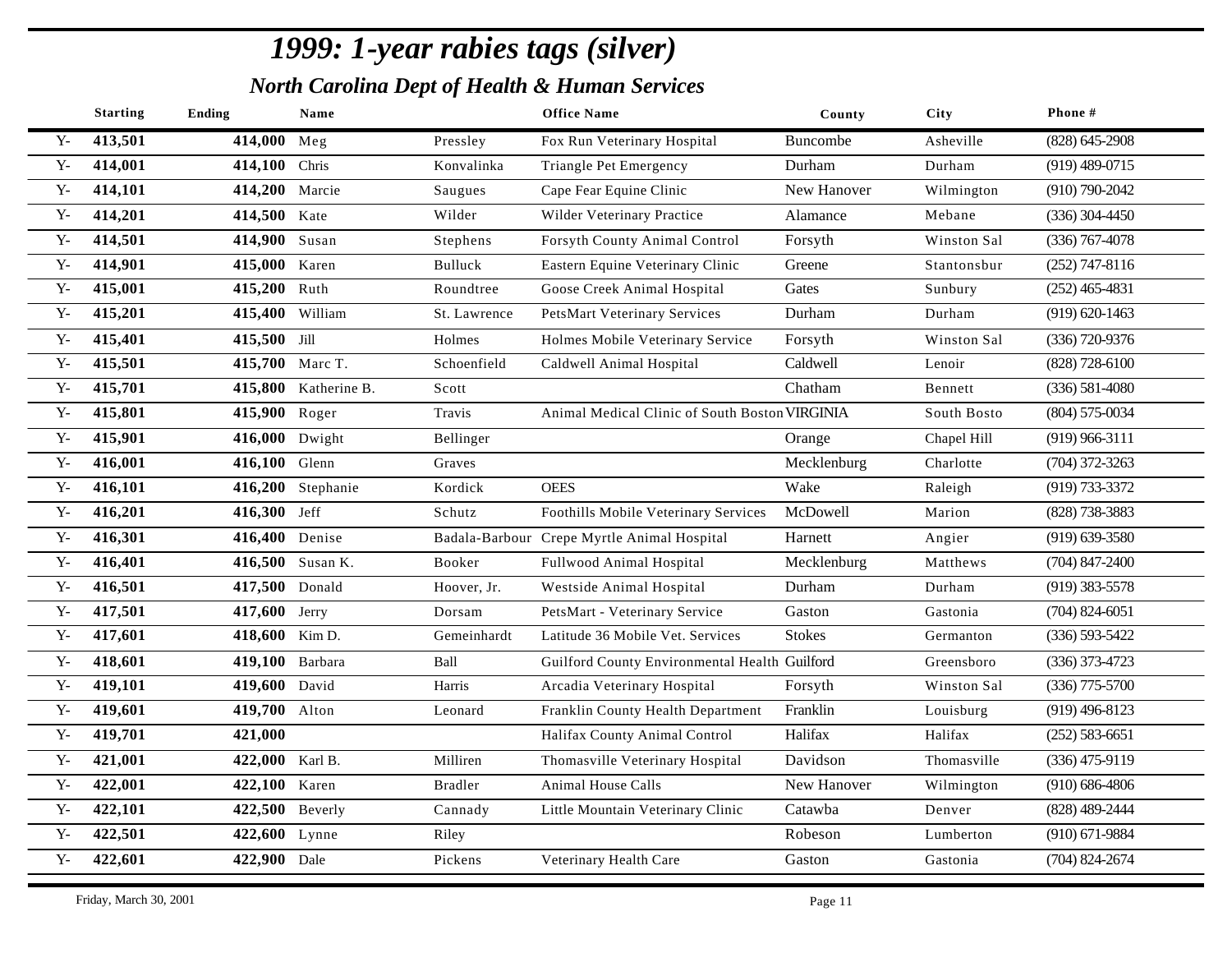|              | <b>Starting</b> | Ending          | Name                 |                | <b>Office Name</b>                             | County        | City        | Phone #            |
|--------------|-----------------|-----------------|----------------------|----------------|------------------------------------------------|---------------|-------------|--------------------|
| $Y -$        | 413,501         | 414,000 Meg     |                      | Pressley       | Fox Run Veterinary Hospital                    | Buncombe      | Asheville   | $(828)$ 645-2908   |
| ${\bf Y}$    | 414,001         | 414,100 Chris   |                      | Konvalinka     | Triangle Pet Emergency                         | Durham        | Durham      | $(919)$ 489-0715   |
| $Y -$        | 414,101         | 414,200 Marcie  |                      | Saugues        | Cape Fear Equine Clinic                        | New Hanover   | Wilmington  | $(910) 790 - 2042$ |
| $Y -$        | 414,201         | 414,500 Kate    |                      | Wilder         | Wilder Veterinary Practice                     | Alamance      | Mebane      | $(336)$ 304-4450   |
| ${\bf Y}$    | 414,501         | 414,900 Susan   |                      | Stephens       | Forsyth County Animal Control                  | Forsyth       | Winston Sal | $(336)$ 767-4078   |
| $Y -$        | 414,901         | 415,000 Karen   |                      | Bulluck        | Eastern Equine Veterinary Clinic               | Greene        | Stantonsbur | $(252)$ 747-8116   |
| $Y -$        | 415,001         | 415,200 Ruth    |                      | Roundtree      | Goose Creek Animal Hospital                    | Gates         | Sunbury     | $(252)$ 465-4831   |
| $Y -$        | 415,201         | 415,400 William |                      | St. Lawrence   | <b>PetsMart Veterinary Services</b>            | Durham        | Durham      | $(919) 620 - 1463$ |
| $Y -$        | 415,401         | 415,500 Jill    |                      | Holmes         | Holmes Mobile Veterinary Service               | Forsyth       | Winston Sal | (336) 720-9376     |
| $Y -$        | 415,501         | 415,700 Marc T. |                      | Schoenfield    | Caldwell Animal Hospital                       | Caldwell      | Lenoir      | $(828)$ 728-6100   |
| $Y -$        | 415,701         |                 | 415,800 Katherine B. | Scott          |                                                | Chatham       | Bennett     | $(336) 581 - 4080$ |
| ${\bf Y}$    | 415,801         | 415,900 Roger   |                      | Travis         | Animal Medical Clinic of South Boston VIRGINIA |               | South Bosto | $(804) 575 - 0034$ |
| $Y -$        | 415,901         | 416,000 Dwight  |                      | Bellinger      |                                                | Orange        | Chapel Hill | $(919)$ 966-3111   |
| ${\bf Y}$    | 416,001         | 416,100         | Glenn                | Graves         |                                                | Mecklenburg   | Charlotte   | $(704)$ 372-3263   |
| $Y -$        | 416,101         |                 | 416,200 Stephanie    | Kordick        | <b>OEES</b>                                    | Wake          | Raleigh     | (919) 733-3372     |
| $Y -$        | 416,201         | 416,300 Jeff    |                      | Schutz         | Foothills Mobile Veterinary Services           | McDowell      | Marion      | (828) 738-3883     |
| $Y -$        | 416,301         | 416,400 Denise  |                      |                | Badala-Barbour Crepe Myrtle Animal Hospital    | Harnett       | Angier      | $(919)$ 639-3580   |
| $Y -$        | 416,401         |                 | 416,500 Susan K.     | Booker         | Fullwood Animal Hospital                       | Mecklenburg   | Matthews    | $(704)$ 847-2400   |
| $Y -$        | 416,501         | 417,500 Donald  |                      | Hoover, Jr.    | Westside Animal Hospital                       | Durham        | Durham      | $(919)$ 383-5578   |
| $Y -$        | 417,501         | 417,600 Jerry   |                      | Dorsam         | PetsMart - Veterinary Service                  | Gaston        | Gastonia    | $(704)$ 824-6051   |
| $Y -$        | 417,601         | 418,600 Kim D.  |                      | Gemeinhardt    | Latitude 36 Mobile Vet. Services               | <b>Stokes</b> | Germanton   | $(336) 593 - 5422$ |
| $\mathbf{Y}$ | 418,601         | 419,100 Barbara |                      | Ball           | Guilford County Environmental Health Guilford  |               | Greensboro  | $(336)$ 373-4723   |
| $Y -$        | 419,101         | 419,600 David   |                      | Harris         | Arcadia Veterinary Hospital                    | Forsyth       | Winston Sal | $(336)$ 775-5700   |
| $\mathbf{Y}$ | 419,601         | 419,700 Alton   |                      | Leonard        | Franklin County Health Department              | Franklin      | Louisburg   | $(919)$ 496-8123   |
| $Y -$        | 419,701         | 421,000         |                      |                | Halifax County Animal Control                  | Halifax       | Halifax     | $(252) 583 - 6651$ |
| ${\bf Y}$    | 421,001         | 422,000 Karl B. |                      | Milliren       | Thomasville Veterinary Hospital                | Davidson      | Thomasville | $(336)$ 475-9119   |
| $Y -$        | 422,001         | 422,100 Karen   |                      | <b>Bradler</b> | Animal House Calls                             | New Hanover   | Wilmington  | $(910) 686 - 4806$ |
| $Y -$        | 422,101         | 422,500 Beverly |                      | Cannady        | Little Mountain Veterinary Clinic              | Catawba       | Denver      | (828) 489-2444     |
| $Y -$        | 422,501         | 422,600 Lynne   |                      | Riley          |                                                | Robeson       | Lumberton   | $(910)$ 671-9884   |
| ${\bf Y}$ -  | 422,601         | 422,900 Dale    |                      | Pickens        | Veterinary Health Care                         | Gaston        | Gastonia    | $(704)$ 824-2674   |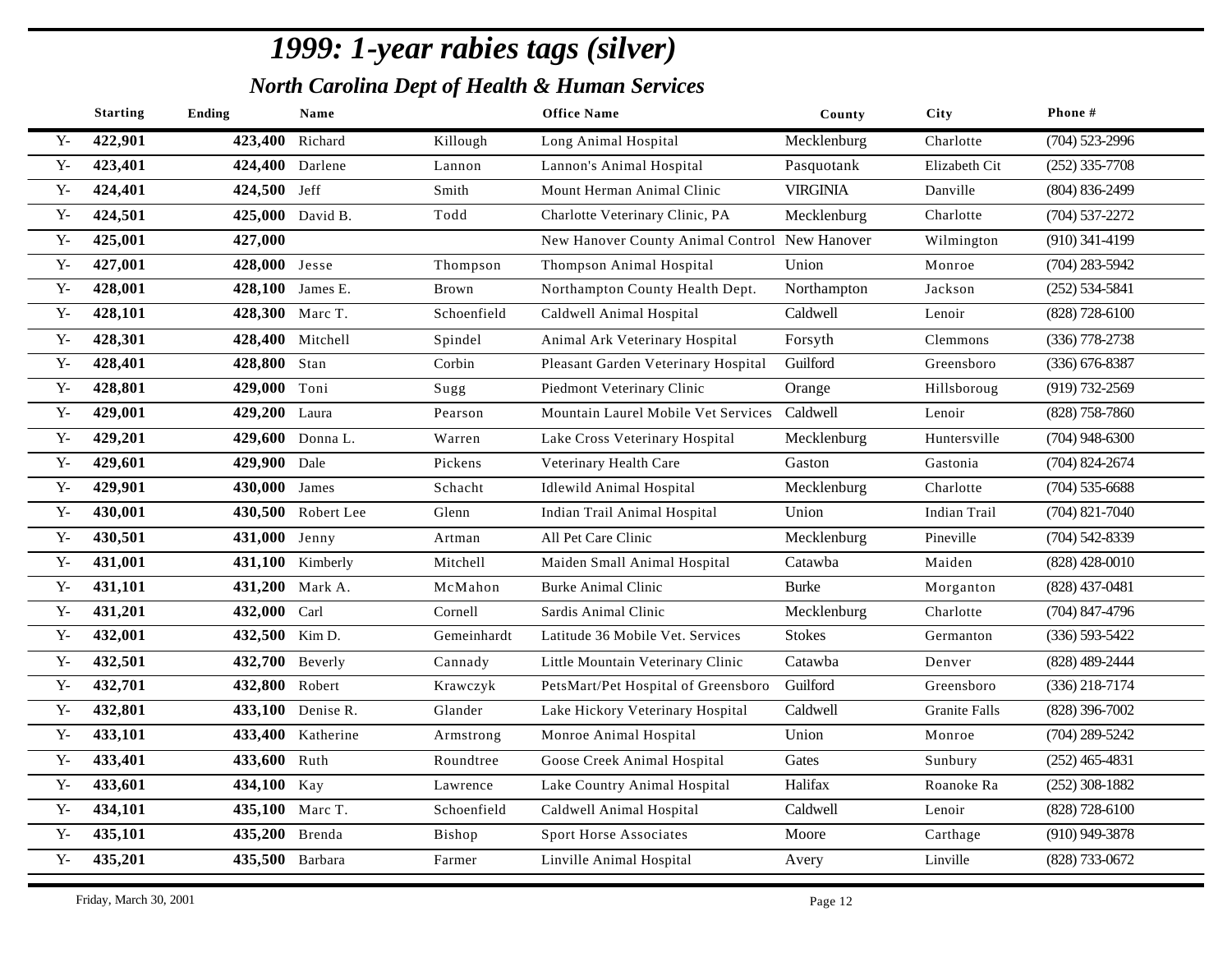|                | <b>Starting</b> | Ending           | Name               |             | <b>Office Name</b>                            | County          | City                 | Phone#             |
|----------------|-----------------|------------------|--------------------|-------------|-----------------------------------------------|-----------------|----------------------|--------------------|
| $Y -$          | 422,901         | 423,400          | Richard            | Killough    | Long Animal Hospital                          | Mecklenburg     | Charlotte            | $(704)$ 523-2996   |
| $\mathbf{Y}$   | 423,401         | 424,400 Darlene  |                    | Lannon      | Lannon's Animal Hospital                      | Pasquotank      | Elizabeth Cit        | $(252)$ 335-7708   |
| $Y -$          | 424,401         | 424,500 Jeff     |                    | Smith       | Mount Herman Animal Clinic                    | <b>VIRGINIA</b> | Danville             | $(804) 836 - 2499$ |
| ${\bf Y}$ -    | 424,501         |                  | 425,000 David B.   | Todd        | Charlotte Veterinary Clinic, PA               | Mecklenburg     | Charlotte            | $(704)$ 537-2272   |
| ${\bf Y}$      | 425,001         | 427,000          |                    |             | New Hanover County Animal Control New Hanover |                 | Wilmington           | $(910)$ 341-4199   |
| $\mathbf{Y}$ - | 427,001         | 428,000 Jesse    |                    | Thompson    | Thompson Animal Hospital                      | Union           | Monroe               | $(704)$ 283-5942   |
| ${\bf Y}$      | 428,001         | 428,100 James E. |                    | Brown       | Northampton County Health Dept.               | Northampton     | Jackson              | $(252) 534 - 5841$ |
| ${\bf Y}$      | 428,101         | 428,300 Marc T.  |                    | Schoenfield | Caldwell Animal Hospital                      | Caldwell        | Lenoir               | (828) 728-6100     |
| ${\bf Y}$ -    | 428,301         |                  | 428,400 Mitchell   | Spindel     | Animal Ark Veterinary Hospital                | Forsyth         | Clemmons             | $(336)$ 778-2738   |
| $Y -$          | 428,401         | 428,800 Stan     |                    | Corbin      | Pleasant Garden Veterinary Hospital           | Guilford        | Greensboro           | $(336)$ 676-8387   |
| $\mathbf{Y}$   | 428,801         | 429,000 Toni     |                    | Sugg        | Piedmont Veterinary Clinic                    | Orange          | Hillsboroug          | (919) 732-2569     |
| ${\bf Y}$      | 429,001         | 429,200 Laura    |                    | Pearson     | Mountain Laurel Mobile Vet Services           | Caldwell        | Lenoir               | $(828)$ 758-7860   |
| ${\bf Y}$      | 429,201         |                  | 429,600 Donna L.   | Warren      | Lake Cross Veterinary Hospital                | Mecklenburg     | Huntersville         | $(704)$ 948-6300   |
| ${\bf Y}$      | 429,601         | 429,900 Dale     |                    | Pickens     | Veterinary Health Care                        | Gaston          | Gastonia             | $(704)$ 824-2674   |
| ${\bf Y}$      | 429,901         | 430,000 James    |                    | Schacht     | <b>Idlewild Animal Hospital</b>               | Mecklenburg     | Charlotte            | $(704)$ 535-6688   |
| ${\bf Y}$      | 430,001         |                  | 430,500 Robert Lee | Glenn       | Indian Trail Animal Hospital                  | Union           | <b>Indian Trail</b>  | $(704)$ 821-7040   |
| ${\bf Y}$      | 430,501         | 431,000 Jenny    |                    | Artman      | All Pet Care Clinic                           | Mecklenburg     | Pineville            | $(704)$ 542-8339   |
| ${\bf Y}$      | 431,001         |                  | 431,100 Kimberly   | Mitchell    | Maiden Small Animal Hospital                  | Catawba         | Maiden               | $(828)$ 428-0010   |
| ${\bf Y}$      | 431,101         |                  | 431,200 Mark A.    | McMahon     | <b>Burke Animal Clinic</b>                    | <b>Burke</b>    | Morganton            | $(828)$ 437-0481   |
| ${\bf Y}$      | 431,201         | 432,000 Carl     |                    | Cornell     | Sardis Animal Clinic                          | Mecklenburg     | Charlotte            | $(704)$ 847-4796   |
| $Y -$          | 432,001         | 432,500 Kim D.   |                    | Gemeinhardt | Latitude 36 Mobile Vet. Services              | <b>Stokes</b>   | Germanton            | $(336) 593 - 5422$ |
| $Y -$          | 432,501         | 432,700 Beverly  |                    | Cannady     | Little Mountain Veterinary Clinic             | Catawba         | Denver               | (828) 489-2444     |
| $Y -$          | 432,701         | 432,800 Robert   |                    | Krawczyk    | PetsMart/Pet Hospital of Greensboro           | Guilford        | Greensboro           | $(336)$ 218-7174   |
| $Y -$          | 432,801         |                  | 433,100 Denise R.  | Glander     | Lake Hickory Veterinary Hospital              | Caldwell        | <b>Granite Falls</b> | $(828)$ 396-7002   |
| $Y -$          | 433,101         |                  | 433,400 Katherine  | Armstrong   | Monroe Animal Hospital                        | Union           | Monroe               | $(704)$ 289-5242   |
| $Y -$          | 433,401         | 433,600          | Ruth               | Roundtree   | Goose Creek Animal Hospital                   | Gates           | Sunbury              | $(252)$ 465-4831   |
| $\mathbf{Y}$   | 433,601         | 434,100 Kay      |                    | Lawrence    | Lake Country Animal Hospital                  | Halifax         | Roanoke Ra           | $(252)$ 308-1882   |
| $\mathbf{Y}$   | 434,101         | 435,100 Marc T.  |                    | Schoenfield | Caldwell Animal Hospital                      | Caldwell        | Lenoir               | (828) 728-6100     |
| ${\bf Y}$      | 435,101         | 435,200 Brenda   |                    | Bishop      | Sport Horse Associates                        | Moore           | Carthage             | $(910)$ 949-3878   |
| ${\bf Y}$ -    | 435,201         | 435,500 Barbara  |                    | Farmer      | Linville Animal Hospital                      | Avery           | Linville             | (828) 733-0672     |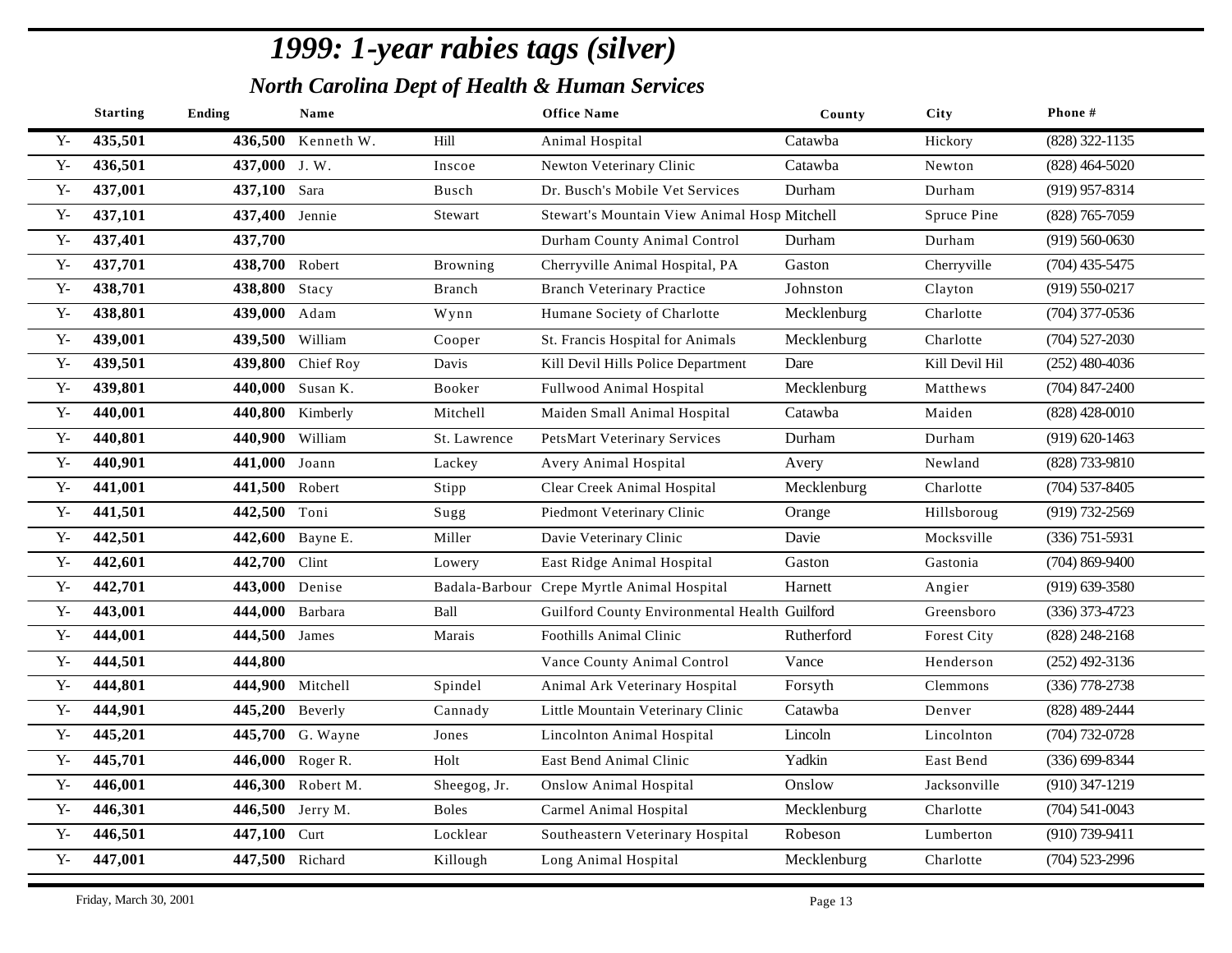|              | <b>Starting</b> | Ending          | Name               |              | <b>Office Name</b>                            | County      | <b>City</b>    | Phone#             |
|--------------|-----------------|-----------------|--------------------|--------------|-----------------------------------------------|-------------|----------------|--------------------|
| $Y -$        | 435,501         |                 | 436,500 Kenneth W. | Hill         | Animal Hospital                               | Catawba     | Hickory        | (828) 322-1135     |
| ${\bf Y}$    | 436,501         | 437,000 J.W.    |                    | Inscoe       | Newton Veterinary Clinic                      | Catawba     | Newton         | $(828)$ 464-5020   |
| $Y -$        | 437,001         | 437,100 Sara    |                    | Busch        | Dr. Busch's Mobile Vet Services               | Durham      | Durham         | $(919)$ 957-8314   |
| $Y -$        | 437,101         | 437,400 Jennie  |                    | Stewart      | Stewart's Mountain View Animal Hosp Mitchell  |             | Spruce Pine    | $(828)$ 765-7059   |
| $Y -$        | 437,401         | 437,700         |                    |              | Durham County Animal Control                  | Durham      | Durham         | $(919) 560 - 0630$ |
| $Y -$        | 437,701         | 438,700 Robert  |                    | Browning     | Cherryville Animal Hospital, PA               | Gaston      | Cherryville    | $(704)$ 435-5475   |
| ${\bf Y}$    | 438,701         | 438,800 Stacy   |                    | Branch       | <b>Branch Veterinary Practice</b>             | Johnston    | Clayton        | $(919) 550 - 0217$ |
| $Y -$        | 438,801         | 439,000 Adam    |                    | Wynn         | Humane Society of Charlotte                   | Mecklenburg | Charlotte      | $(704)$ 377-0536   |
| $Y -$        | 439,001         | 439,500         | William            | Cooper       | St. Francis Hospital for Animals              | Mecklenburg | Charlotte      | $(704)$ 527-2030   |
| $Y -$        | 439,501         |                 | 439,800 Chief Roy  | Davis        | Kill Devil Hills Police Department            | Dare        | Kill Devil Hil | $(252)$ 480-4036   |
| $Y -$        | 439,801         |                 | 440,000 Susan K.   | Booker       | Fullwood Animal Hospital                      | Mecklenburg | Matthews       | $(704)$ 847-2400   |
| ${\bf Y}$    | 440,001         |                 | 440,800 Kimberly   | Mitchell     | Maiden Small Animal Hospital                  | Catawba     | Maiden         | $(828)$ 428-0010   |
| $Y -$        | 440,801         | 440,900 William |                    | St. Lawrence | <b>PetsMart Veterinary Services</b>           | Durham      | Durham         | $(919) 620 - 1463$ |
| ${\bf Y}$    | 440,901         | 441,000 Joann   |                    | Lackey       | Avery Animal Hospital                         | Avery       | Newland        | (828) 733-9810     |
| ${\bf Y}$    | 441,001         | 441,500 Robert  |                    | Stipp        | Clear Creek Animal Hospital                   | Mecklenburg | Charlotte      | $(704)$ 537-8405   |
| ${\bf Y}$    | 441,501         | 442,500 Toni    |                    | Sugg         | Piedmont Veterinary Clinic                    | Orange      | Hillsboroug    | $(919) 732 - 2569$ |
| ${\bf Y}$    | 442,501         |                 | 442,600 Bayne E.   | Miller       | Davie Veterinary Clinic                       | Davie       | Mocksville     | $(336)$ 751-5931   |
| ${\bf Y}$    | 442,601         | 442,700 Clint   |                    | Lowery       | East Ridge Animal Hospital                    | Gaston      | Gastonia       | $(704)$ 869-9400   |
| ${\bf Y}$ -  | 442,701         | 443,000 Denise  |                    |              | Badala-Barbour Crepe Myrtle Animal Hospital   | Harnett     | Angier         | $(919)$ 639-3580   |
| ${\bf Y}$    | 443,001         | 444,000         | Barbara            | Ball         | Guilford County Environmental Health Guilford |             | Greensboro     | $(336)$ 373-4723   |
| $\mathbf{Y}$ | 444,001         | 444,500 James   |                    | Marais       | Foothills Animal Clinic                       | Rutherford  | Forest City    | $(828)$ 248-2168   |
| $Y -$        | 444,501         | 444,800         |                    |              | Vance County Animal Control                   | Vance       | Henderson      | $(252)$ 492-3136   |
| ${\bf Y}$    | 444,801         |                 | 444,900 Mitchell   | Spindel      | Animal Ark Veterinary Hospital                | Forsyth     | Clemmons       | $(336)$ 778-2738   |
| ${\bf Y}$ -  | 444,901         | 445,200 Beverly |                    | Cannady      | Little Mountain Veterinary Clinic             | Catawba     | Denver         | (828) 489-2444     |
| ${\bf Y}$    | 445,201         |                 | 445,700 G. Wayne   | Jones        | Lincolnton Animal Hospital                    | Lincoln     | Lincolnton     | $(704) 732 - 0728$ |
| ${\bf Y}$    | 445,701         | 446,000         | Roger R.           | Holt         | East Bend Animal Clinic                       | Yadkin      | East Bend      | $(336) 699 - 8344$ |
| $\mathbf{Y}$ | 446,001         |                 | 446,300 Robert M.  | Sheegog, Jr. | <b>Onslow Animal Hospital</b>                 | Onslow      | Jacksonville   | $(910)$ 347-1219   |
| $\mathbf{Y}$ | 446,301         |                 | 446,500 Jerry M.   | <b>Boles</b> | Carmel Animal Hospital                        | Mecklenburg | Charlotte      | $(704)$ 541-0043   |
| ${\bf Y}$    | 446,501         | 447,100 Curt    |                    | Locklear     | Southeastern Veterinary Hospital              | Robeson     | Lumberton      | (910) 739-9411     |
| ${\bf Y}$ -  | 447,001         | 447,500 Richard |                    | Killough     | Long Animal Hospital                          | Mecklenburg | Charlotte      | $(704)$ 523-2996   |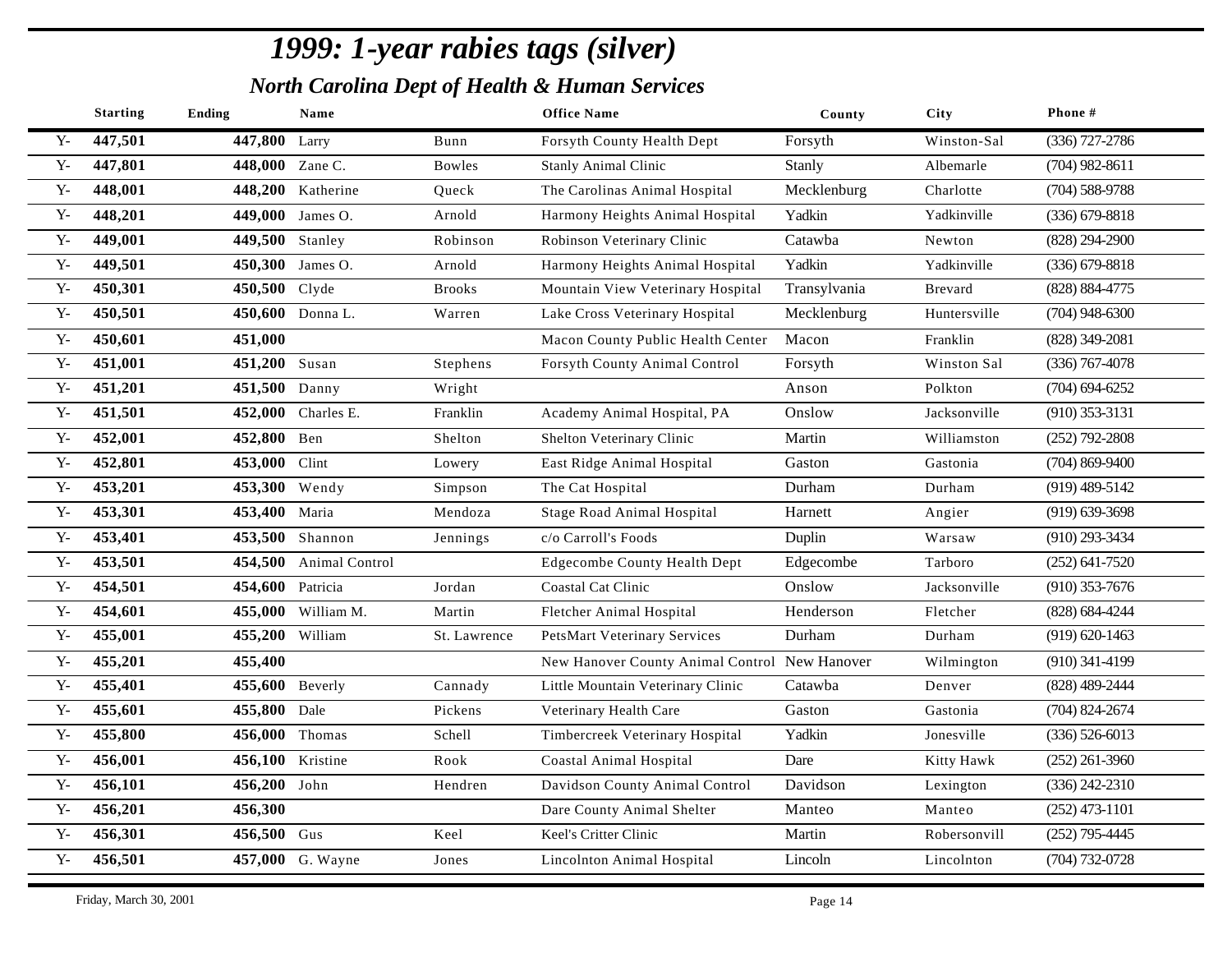|              | <b>Starting</b> | Ending           | Name                   |               | <b>Office Name</b>                            | County       | City         | Phone#             |
|--------------|-----------------|------------------|------------------------|---------------|-----------------------------------------------|--------------|--------------|--------------------|
| $Y -$        | 447,501         | 447,800 Larry    |                        | Bunn          | Forsyth County Health Dept                    | Forsyth      | Winston-Sal  | $(336)$ 727-2786   |
| $\mathbf{Y}$ | 447,801         | 448,000 Zane C.  |                        | <b>Bowles</b> | <b>Stanly Animal Clinic</b>                   | Stanly       | Albemarle    | $(704)$ 982-8611   |
| $Y -$        | 448,001         |                  | 448,200 Katherine      | Queck         | The Carolinas Animal Hospital                 | Mecklenburg  | Charlotte    | $(704)$ 588-9788   |
| $\mathbf{Y}$ | 448,201         |                  | 449,000 James O.       | Arnold        | Harmony Heights Animal Hospital               | Yadkin       | Yadkinville  | $(336)$ 679-8818   |
| ${\bf Y}$    | 449,001         | 449,500 Stanley  |                        | Robinson      | Robinson Veterinary Clinic                    | Catawba      | Newton       | $(828)$ 294-2900   |
| $Y -$        | 449,501         |                  | 450,300 James O.       | Arnold        | Harmony Heights Animal Hospital               | Yadkin       | Yadkinville  | $(336) 679 - 8818$ |
| $Y -$        | 450,301         | 450,500 Clyde    |                        | <b>Brooks</b> | Mountain View Veterinary Hospital             | Transylvania | Brevard      | (828) 884-4775     |
| $Y -$        | 450,501         |                  | 450,600 Donna L.       | Warren        | Lake Cross Veterinary Hospital                | Mecklenburg  | Huntersville | $(704)$ 948-6300   |
| $Y -$        | 450,601         | 451,000          |                        |               | Macon County Public Health Center             | Macon        | Franklin     | (828) 349-2081     |
| ${\bf Y}$    | 451,001         | 451,200 Susan    |                        | Stephens      | Forsyth County Animal Control                 | Forsyth      | Winston Sal  | $(336)$ 767-4078   |
| $\mathbf{Y}$ | 451,201         | 451,500 Danny    |                        | Wright        |                                               | Anson        | Polkton      | $(704)$ 694-6252   |
| ${\bf Y}$    | 451,501         |                  | 452,000 Charles E.     | Franklin      | Academy Animal Hospital, PA                   | Onslow       | Jacksonville | $(910)$ 353-3131   |
| ${\bf Y}$    | 452,001         | 452,800 Ben      |                        | Shelton       | Shelton Veterinary Clinic                     | Martin       | Williamston  | $(252)$ 792-2808   |
| ${\bf Y}$ -  | 452,801         | 453,000          | Clint                  | Lowery        | East Ridge Animal Hospital                    | Gaston       | Gastonia     | $(704)$ 869-9400   |
| ${\bf Y}$    | 453,201         | 453,300 Wendy    |                        | Simpson       | The Cat Hospital                              | Durham       | Durham       | $(919)$ 489-5142   |
| ${\bf Y}$    | 453,301         | 453,400 Maria    |                        | Mendoza       | <b>Stage Road Animal Hospital</b>             | Harnett      | Angier       | $(919)$ 639-3698   |
| ${\bf Y}$    | 453,401         |                  | 453,500 Shannon        | Jennings      | c/o Carroll's Foods                           | Duplin       | Warsaw       | (910) 293-3434     |
| $Y -$        | 453,501         |                  | 454,500 Animal Control |               | <b>Edgecombe County Health Dept</b>           | Edgecombe    | Tarboro      | $(252)$ 641-7520   |
| ${\bf Y}$ -  | 454,501         | 454,600 Patricia |                        | Jordan        | Coastal Cat Clinic                            | Onslow       | Jacksonville | $(910)$ 353-7676   |
| ${\bf Y}$ -  | 454,601         |                  | 455,000 William M.     | Martin        | Fletcher Animal Hospital                      | Henderson    | Fletcher     | $(828) 684 - 4244$ |
| $Y -$        | 455,001         | 455,200 William  |                        | St. Lawrence  | <b>PetsMart Veterinary Services</b>           | Durham       | Durham       | $(919) 620 - 1463$ |
| $Y -$        | 455,201         | 455,400          |                        |               | New Hanover County Animal Control New Hanover |              | Wilmington   | $(910)$ 341-4199   |
| $Y -$        | 455,401         | 455,600 Beverly  |                        | Cannady       | Little Mountain Veterinary Clinic             | Catawba      | Denver       | (828) 489-2444     |
| ${\bf Y}$ -  | 455,601         | 455,800          | Dale                   | Pickens       | Veterinary Health Care                        | Gaston       | Gastonia     | $(704)$ 824-2674   |
| ${\bf Y}$    | 455,800         | 456,000 Thomas   |                        | Schell        | Timbercreek Veterinary Hospital               | Yadkin       | Jonesville   | $(336) 526 - 6013$ |
| ${\bf Y}$    | 456,001         | 456,100 Kristine |                        | Rook          | <b>Coastal Animal Hospital</b>                | Dare         | Kitty Hawk   | $(252)$ 261-3960   |
| ${\bf Y}$    | 456,101         | 456,200 John     |                        | Hendren       | Davidson County Animal Control                | Davidson     | Lexington    | $(336)$ 242-2310   |
| $Y -$        | 456,201         | 456,300          |                        |               | Dare County Animal Shelter                    | Manteo       | Manteo       | $(252)$ 473-1101   |
| $Y -$        | 456,301         | 456,500 Gus      |                        | Keel          | Keel's Critter Clinic                         | Martin       | Robersonvill | $(252)$ 795-4445   |
| ${\bf Y}$ -  | 456,501         |                  | 457,000 G. Wayne       | Jones         | Lincolnton Animal Hospital                    | Lincoln      | Lincolnton   | $(704) 732 - 0728$ |